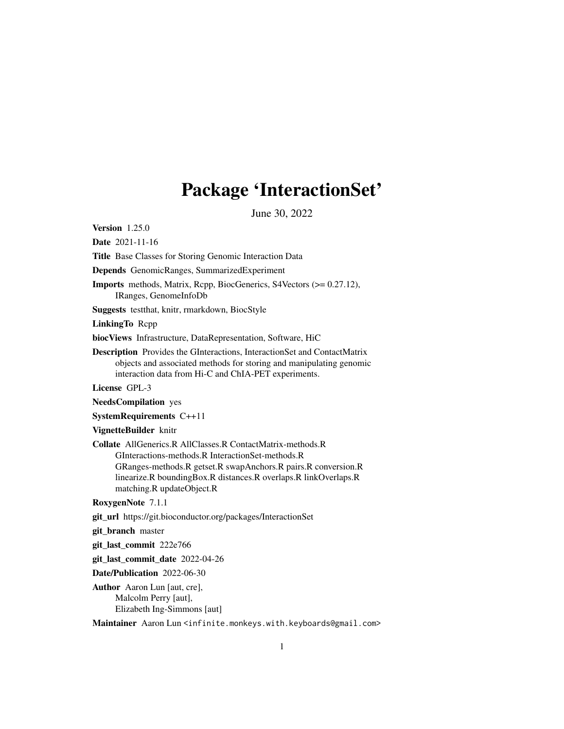## Package 'InteractionSet'

June 30, 2022

<span id="page-0-0"></span>Version 1.25.0

Date 2021-11-16

Title Base Classes for Storing Genomic Interaction Data

Depends GenomicRanges, SummarizedExperiment

Imports methods, Matrix, Rcpp, BiocGenerics, S4Vectors (>= 0.27.12), IRanges, GenomeInfoDb

Suggests testthat, knitr, rmarkdown, BiocStyle

LinkingTo Rcpp

biocViews Infrastructure, DataRepresentation, Software, HiC

Description Provides the GInteractions, InteractionSet and ContactMatrix objects and associated methods for storing and manipulating genomic interaction data from Hi-C and ChIA-PET experiments.

License GPL-3

NeedsCompilation yes

SystemRequirements C++11

VignetteBuilder knitr

Collate AllGenerics.R AllClasses.R ContactMatrix-methods.R GInteractions-methods.R InteractionSet-methods.R GRanges-methods.R getset.R swapAnchors.R pairs.R conversion.R linearize.R boundingBox.R distances.R overlaps.R linkOverlaps.R matching.R updateObject.R

RoxygenNote 7.1.1

git\_url https://git.bioconductor.org/packages/InteractionSet

git\_branch master

git\_last\_commit 222e766

git last commit date 2022-04-26

Date/Publication 2022-06-30

Author Aaron Lun [aut, cre], Malcolm Perry [aut], Elizabeth Ing-Simmons [aut]

Maintainer Aaron Lun <infinite.monkeys.with.keyboards@gmail.com>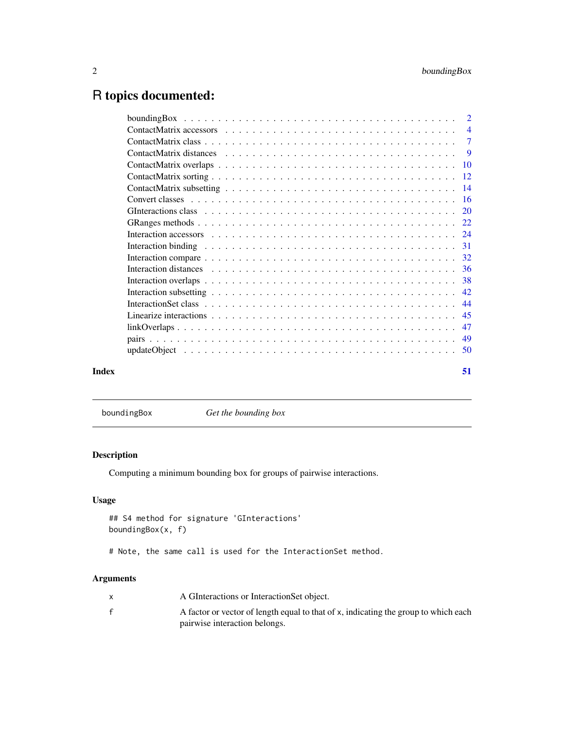## <span id="page-1-0"></span>R topics documented:

|       | Interaction compare $\dots \dots \dots \dots \dots \dots \dots \dots \dots \dots \dots \dots \dots \dots \dots \dots$ 32 |
|-------|--------------------------------------------------------------------------------------------------------------------------|
|       |                                                                                                                          |
|       |                                                                                                                          |
|       |                                                                                                                          |
|       |                                                                                                                          |
|       |                                                                                                                          |
|       |                                                                                                                          |
|       |                                                                                                                          |
|       |                                                                                                                          |
| Index | 51                                                                                                                       |
|       |                                                                                                                          |

boundingBox *Get the bounding box*

## Description

Computing a minimum bounding box for groups of pairwise interactions.

## Usage

```
## S4 method for signature 'GInteractions'
boundingBox(x, f)
```
# Note, the same call is used for the InteractionSet method.

## Arguments

| A GInteractions or Interaction Set object.                                          |
|-------------------------------------------------------------------------------------|
| A factor or vector of length equal to that of x, indicating the group to which each |
| pairwise interaction belongs.                                                       |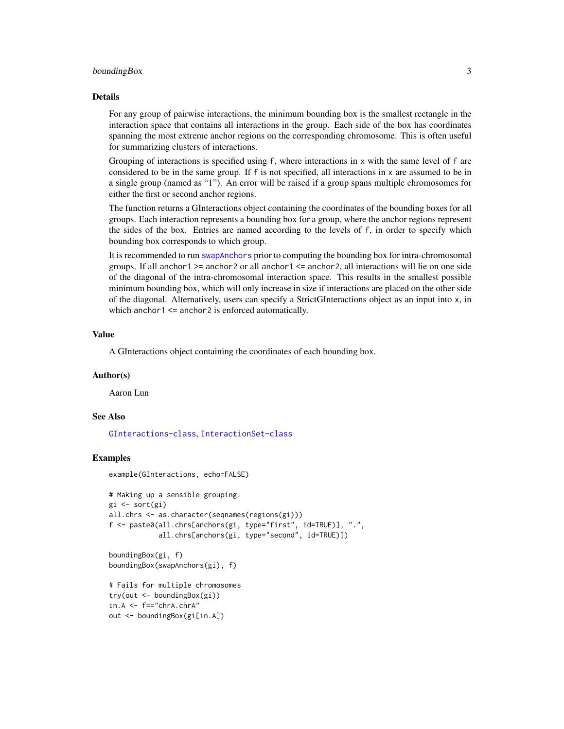#### <span id="page-2-0"></span>boundingBox 3

#### Details

For any group of pairwise interactions, the minimum bounding box is the smallest rectangle in the interaction space that contains all interactions in the group. Each side of the box has coordinates spanning the most extreme anchor regions on the corresponding chromosome. This is often useful for summarizing clusters of interactions.

Grouping of interactions is specified using f, where interactions in x with the same level of f are considered to be in the same group. If f is not specified, all interactions in x are assumed to be in a single group (named as "1"). An error will be raised if a group spans multiple chromosomes for either the first or second anchor regions.

The function returns a GInteractions object containing the coordinates of the bounding boxes for all groups. Each interaction represents a bounding box for a group, where the anchor regions represent the sides of the box. Entries are named according to the levels of f, in order to specify which bounding box corresponds to which group.

It is recommended to run [swapAnchors](#page-31-1) prior to computing the bounding box for intra-chromosomal groups. If all anchor1 >= anchor2 or all anchor1 <= anchor2, all interactions will lie on one side of the diagonal of the intra-chromosomal interaction space. This results in the smallest possible minimum bounding box, which will only increase in size if interactions are placed on the other side of the diagonal. Alternatively, users can specify a StrictGInteractions object as an input into x, in which anchor1 <= anchor2 is enforced automatically.

#### Value

A GInteractions object containing the coordinates of each bounding box.

#### Author(s)

Aaron Lun

## See Also

[GInteractions-class](#page-19-1), [InteractionSet-class](#page-43-1)

#### Examples

example(GInteractions, echo=FALSE)

```
# Making up a sensible grouping.
gi <- sort(gi)
all.chrs <- as.character(seqnames(regions(gi)))
f <- paste0(all.chrs[anchors(gi, type="first", id=TRUE)], ".",
           all.chrs[anchors(gi, type="second", id=TRUE)])
```
boundingBox(gi, f) boundingBox(swapAnchors(gi), f)

```
# Fails for multiple chromosomes
try(out <- boundingBox(gi))
in.A < -f == "chrA.chrA"out <- boundingBox(gi[in.A])
```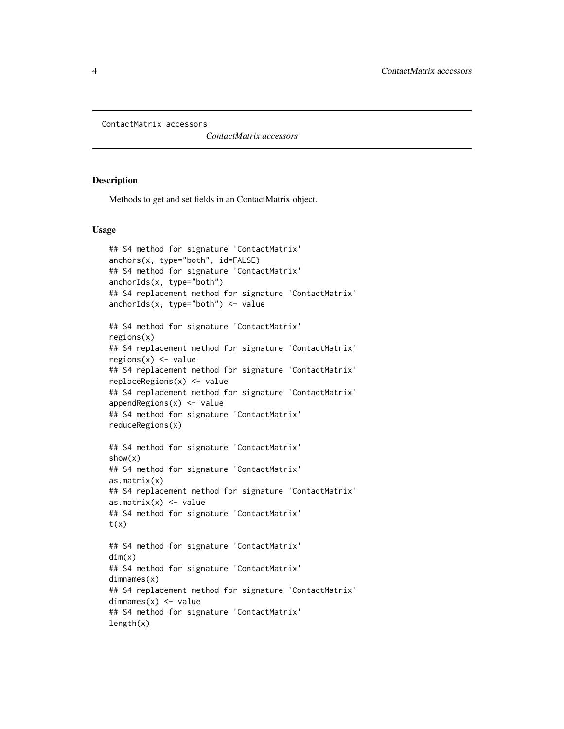<span id="page-3-0"></span>ContactMatrix accessors

*ContactMatrix accessors*

#### <span id="page-3-1"></span>Description

Methods to get and set fields in an ContactMatrix object.

#### Usage

```
## S4 method for signature 'ContactMatrix'
anchors(x, type="both", id=FALSE)
## S4 method for signature 'ContactMatrix'
anchorIds(x, type="both")
## S4 replacement method for signature 'ContactMatrix'
anchorIds(x, type="both") <- value
## S4 method for signature 'ContactMatrix'
regions(x)
## S4 replacement method for signature 'ContactMatrix'
regions(x) <- value
## S4 replacement method for signature 'ContactMatrix'
replaceRegions(x) <- value
## S4 replacement method for signature 'ContactMatrix'
appendRegions(x) <- value
## S4 method for signature 'ContactMatrix'
reduceRegions(x)
## S4 method for signature 'ContactMatrix'
show(x)
## S4 method for signature 'ContactMatrix'
as.matrix(x)
## S4 replacement method for signature 'ContactMatrix'
as.matrix(x) <- value
## S4 method for signature 'ContactMatrix'
t(x)## S4 method for signature 'ContactMatrix'
dim(x)## S4 method for signature 'ContactMatrix'
dimnames(x)
## S4 replacement method for signature 'ContactMatrix'
dimnames(x) <- value
## S4 method for signature 'ContactMatrix'
length(x)
```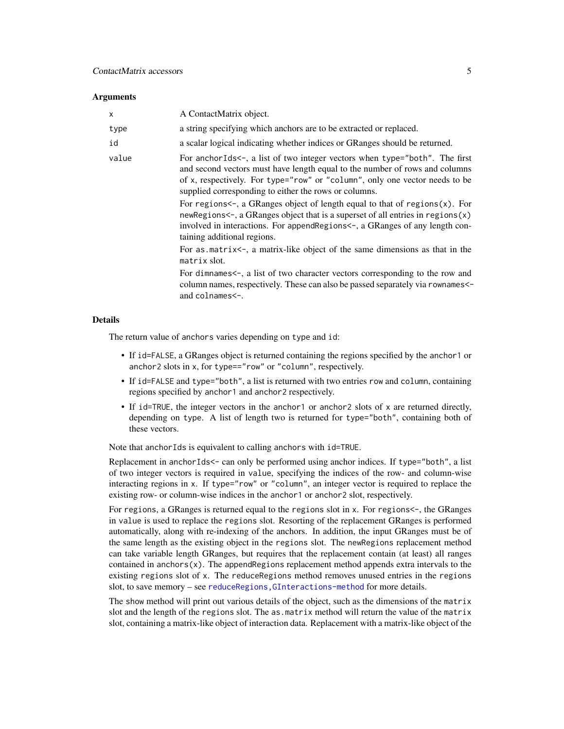#### **Arguments**

| X     | A ContactMatrix object.                                                                                                                                                                                                                                                                                                                                                                                                                                                                                                                                                                                                                                                                                                                                                                                                                                                                   |
|-------|-------------------------------------------------------------------------------------------------------------------------------------------------------------------------------------------------------------------------------------------------------------------------------------------------------------------------------------------------------------------------------------------------------------------------------------------------------------------------------------------------------------------------------------------------------------------------------------------------------------------------------------------------------------------------------------------------------------------------------------------------------------------------------------------------------------------------------------------------------------------------------------------|
| type  | a string specifying which anchors are to be extracted or replaced.                                                                                                                                                                                                                                                                                                                                                                                                                                                                                                                                                                                                                                                                                                                                                                                                                        |
| id    | a scalar logical indicating whether indices or GRanges should be returned.                                                                                                                                                                                                                                                                                                                                                                                                                                                                                                                                                                                                                                                                                                                                                                                                                |
| value | For anchorids <-, a list of two integer vectors when type="both". The first<br>and second vectors must have length equal to the number of rows and columns<br>of x, respectively. For type="row" or "column", only one vector needs to be<br>supplied corresponding to either the rows or columns.<br>For regions<-, a GRanges object of length equal to that of regions $(x)$ . For<br>new Regions $\lt$ , a GR anges object that is a superset of all entries in regions $(x)$<br>involved in interactions. For append Regions $\lt$ -, a GRanges of any length con-<br>taining additional regions.<br>For as matrix-, a matrix-like object of the same dimensions as that in the<br>matrix slot.<br>For dimnames<-, a list of two character vectors corresponding to the row and<br>column names, respectively. These can also be passed separately via rownames<-<br>and colnames <-. |
|       |                                                                                                                                                                                                                                                                                                                                                                                                                                                                                                                                                                                                                                                                                                                                                                                                                                                                                           |

## Details

The return value of anchors varies depending on type and id:

- If id=FALSE, a GRanges object is returned containing the regions specified by the anchor1 or anchor2 slots in x, for type=="row" or "column", respectively.
- If id=FALSE and type="both", a list is returned with two entries row and column, containing regions specified by anchor1 and anchor2 respectively.
- If id=TRUE, the integer vectors in the anchor1 or anchor2 slots of x are returned directly, depending on type. A list of length two is returned for type="both", containing both of these vectors.

Note that anchorIds is equivalent to calling anchors with id=TRUE.

Replacement in anchorIds<- can only be performed using anchor indices. If type="both", a list of two integer vectors is required in value, specifying the indices of the row- and column-wise interacting regions in x. If type="row" or "column", an integer vector is required to replace the existing row- or column-wise indices in the anchor1 or anchor2 slot, respectively.

For regions, a GRanges is returned equal to the regions slot in x. For regions<-, the GRanges in value is used to replace the regions slot. Resorting of the replacement GRanges is performed automatically, along with re-indexing of the anchors. In addition, the input GRanges must be of the same length as the existing object in the regions slot. The newRegions replacement method can take variable length GRanges, but requires that the replacement contain (at least) all ranges contained in anchors $(x)$ . The appendRegions replacement method appends extra intervals to the existing regions slot of x. The reduceRegions method removes unused entries in the regions slot, to save memory - see reduceRegions, GInteractions-method for more details.

The show method will print out various details of the object, such as the dimensions of the matrix slot and the length of the regions slot. The as.matrix method will return the value of the matrix slot, containing a matrix-like object of interaction data. Replacement with a matrix-like object of the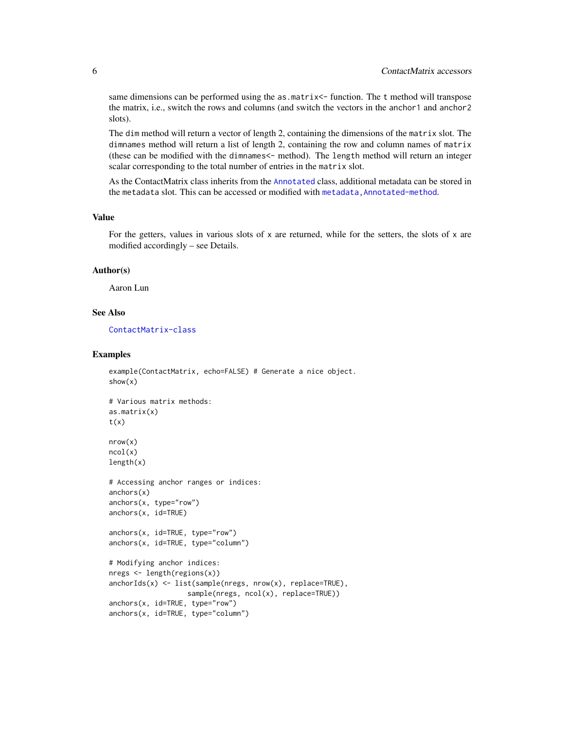<span id="page-5-0"></span>same dimensions can be performed using the as.matrix <- function. The t method will transpose the matrix, i.e., switch the rows and columns (and switch the vectors in the anchor1 and anchor2 slots).

The dim method will return a vector of length 2, containing the dimensions of the matrix slot. The dimnames method will return a list of length 2, containing the row and column names of matrix (these can be modified with the dimnames<- method). The length method will return an integer scalar corresponding to the total number of entries in the matrix slot.

As the ContactMatrix class inherits from the [Annotated](#page-0-0) class, additional metadata can be stored in the metadata slot. This can be accessed or modified with metadata, Annotated-method.

## Value

For the getters, values in various slots of  $x$  are returned, while for the setters, the slots of  $x$  are modified accordingly – see Details.

#### Author(s)

Aaron Lun

### See Also

[ContactMatrix-class](#page-6-1)

#### Examples

```
example(ContactMatrix, echo=FALSE) # Generate a nice object.
show(x)
# Various matrix methods:
as.matrix(x)
t(x)nrow(x)
ncol(x)
length(x)
# Accessing anchor ranges or indices:
anchors(x)anchors(x, type="row")
anchors(x, id=TRUE)
anchors(x, id=TRUE, type="row")
anchors(x, id=TRUE, type="column")
# Modifying anchor indices:
nregs <- length(regions(x))
anchorIds(x) <- list(sample(nregs, nrow(x), replace=TRUE),
                   sample(nregs, ncol(x), replace=TRUE))
anchors(x, id=TRUE, type="row")
anchors(x, id=TRUE, type="column")
```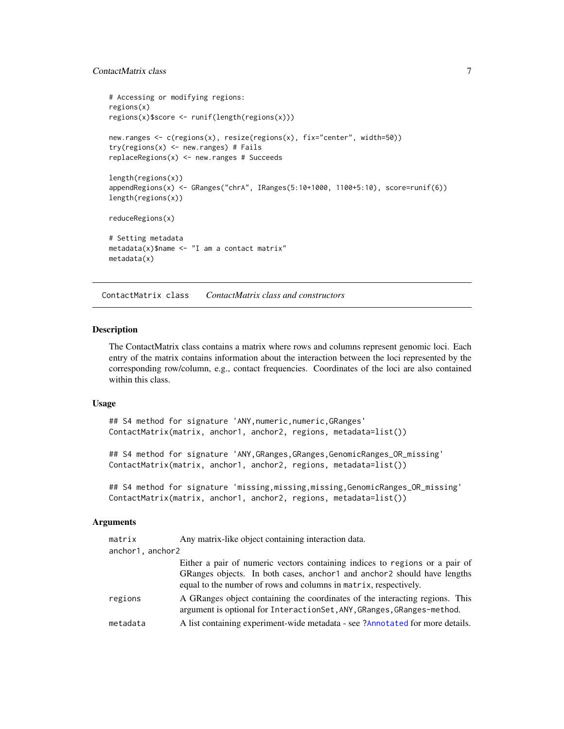## <span id="page-6-0"></span>ContactMatrix class 7

```
# Accessing or modifying regions:
regions(x)
regions(x)$score <- runif(length(regions(x)))
new.ranges <- c(regions(x), resize(regions(x), fix="center", width=50))
try(regions(x) < -new.random) # failsreplaceRegions(x) <- new.ranges # Succeeds
length(regions(x))
appendRegions(x) <- GRanges("chrA", IRanges(5:10+1000, 1100+5:10), score=runif(6))
length(regions(x))
reduceRegions(x)
# Setting metadata
metadata(x)$name <- "I am a contact matrix"
metadata(x)
```
ContactMatrix class *ContactMatrix class and constructors*

#### <span id="page-6-1"></span>Description

The ContactMatrix class contains a matrix where rows and columns represent genomic loci. Each entry of the matrix contains information about the interaction between the loci represented by the corresponding row/column, e.g., contact frequencies. Coordinates of the loci are also contained within this class.

#### Usage

## S4 method for signature 'ANY, numeric, numeric, GRanges' ContactMatrix(matrix, anchor1, anchor2, regions, metadata=list())

## S4 method for signature 'ANY, GRanges, GRanges, GenomicRanges\_OR\_missing' ContactMatrix(matrix, anchor1, anchor2, regions, metadata=list())

```
## S4 method for signature 'missing,missing,missing,GenomicRanges_OR_missing'
ContactMatrix(matrix, anchor1, anchor2, regions, metadata=list())
```
#### Arguments

| matrix           | Any matrix-like object containing interaction data.                                                                                                                                                                          |
|------------------|------------------------------------------------------------------------------------------------------------------------------------------------------------------------------------------------------------------------------|
| anchor1, anchor2 |                                                                                                                                                                                                                              |
|                  | Either a pair of numeric vectors containing indices to regions or a pair of<br>GRanges objects. In both cases, anchor 1 and anchor 2 should have lengths<br>equal to the number of rows and columns in matrix, respectively. |
| regions          | A GRanges object containing the coordinates of the interacting regions. This<br>argument is optional for InteractionSet, ANY, GRanges, GRanges-method.                                                                       |
| metadata         | A list containing experiment-wide metadata - see ?Annotated for more details.                                                                                                                                                |
|                  |                                                                                                                                                                                                                              |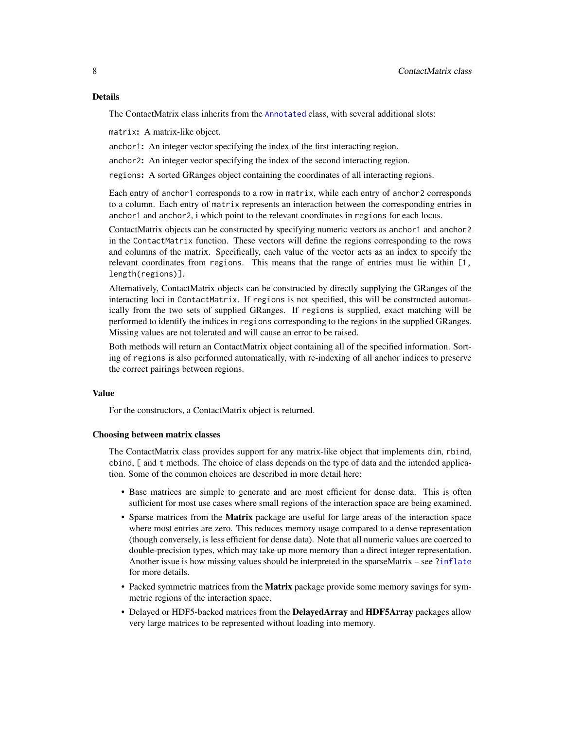<span id="page-7-0"></span>The ContactMatrix class inherits from the [Annotated](#page-0-0) class, with several additional slots:

matrix: A matrix-like object.

anchor1: An integer vector specifying the index of the first interacting region.

anchor2: An integer vector specifying the index of the second interacting region.

regions: A sorted GRanges object containing the coordinates of all interacting regions.

Each entry of anchor1 corresponds to a row in matrix, while each entry of anchor2 corresponds to a column. Each entry of matrix represents an interaction between the corresponding entries in anchor1 and anchor2, i which point to the relevant coordinates in regions for each locus.

ContactMatrix objects can be constructed by specifying numeric vectors as anchor1 and anchor2 in the ContactMatrix function. These vectors will define the regions corresponding to the rows and columns of the matrix. Specifically, each value of the vector acts as an index to specify the relevant coordinates from regions. This means that the range of entries must lie within [1, length(regions)].

Alternatively, ContactMatrix objects can be constructed by directly supplying the GRanges of the interacting loci in ContactMatrix. If regions is not specified, this will be constructed automatically from the two sets of supplied GRanges. If regions is supplied, exact matching will be performed to identify the indices in regions corresponding to the regions in the supplied GRanges. Missing values are not tolerated and will cause an error to be raised.

Both methods will return an ContactMatrix object containing all of the specified information. Sorting of regions is also performed automatically, with re-indexing of all anchor indices to preserve the correct pairings between regions.

#### Value

For the constructors, a ContactMatrix object is returned.

#### Choosing between matrix classes

The ContactMatrix class provides support for any matrix-like object that implements dim, rbind, cbind, [ and t methods. The choice of class depends on the type of data and the intended application. Some of the common choices are described in more detail here:

- Base matrices are simple to generate and are most efficient for dense data. This is often sufficient for most use cases where small regions of the interaction space are being examined.
- Sparse matrices from the Matrix package are useful for large areas of the interaction space where most entries are zero. This reduces memory usage compared to a dense representation (though conversely, is less efficient for dense data). Note that all numeric values are coerced to double-precision types, which may take up more memory than a direct integer representation. Another issue is how missing values should be interpreted in the sparseMatrix – see [?inflate](#page-15-1) for more details.
- Packed symmetric matrices from the **Matrix** package provide some memory savings for symmetric regions of the interaction space.
- Delayed or HDF5-backed matrices from the **DelayedArray** and **HDF5Array** packages allow very large matrices to be represented without loading into memory.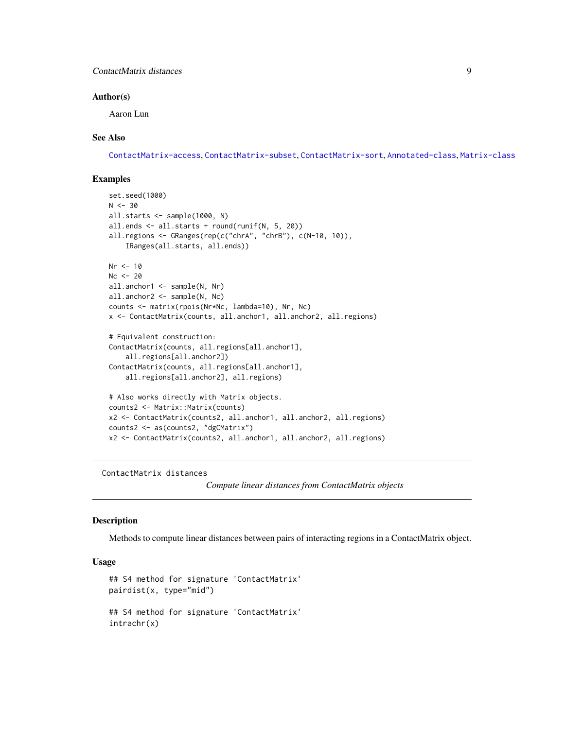## <span id="page-8-0"></span>ContactMatrix distances 9

#### Author(s)

Aaron Lun

## See Also

[ContactMatrix-access](#page-3-1), [ContactMatrix-subset](#page-13-1), [ContactMatrix-sort](#page-11-1), [Annotated-class](#page-0-0), [Matrix-class](#page-0-0)

## Examples

```
set.seed(1000)
N < -30all.starts <- sample(1000, N)
all.ends <- all.starts + round(runif(N, 5, 20))
all.regions <- GRanges(rep(c("chrA", "chrB"), c(N-10, 10)),
    IRanges(all.starts, all.ends))
Nr < -10Nc < -20all.anchor1 <- sample(N, Nr)
all.anchor2 <- sample(N, Nc)
counts <- matrix(rpois(Nr*Nc, lambda=10), Nr, Nc)
x <- ContactMatrix(counts, all.anchor1, all.anchor2, all.regions)
# Equivalent construction:
ContactMatrix(counts, all.regions[all.anchor1],
    all.regions[all.anchor2])
ContactMatrix(counts, all.regions[all.anchor1],
    all.regions[all.anchor2], all.regions)
# Also works directly with Matrix objects.
counts2 <- Matrix::Matrix(counts)
x2 <- ContactMatrix(counts2, all.anchor1, all.anchor2, all.regions)
counts2 <- as(counts2, "dgCMatrix")
x2 <- ContactMatrix(counts2, all.anchor1, all.anchor2, all.regions)
```
ContactMatrix distances

*Compute linear distances from ContactMatrix objects*

## Description

Methods to compute linear distances between pairs of interacting regions in a ContactMatrix object.

## Usage

```
## S4 method for signature 'ContactMatrix'
pairdist(x, type="mid")
## S4 method for signature 'ContactMatrix'
intrachr(x)
```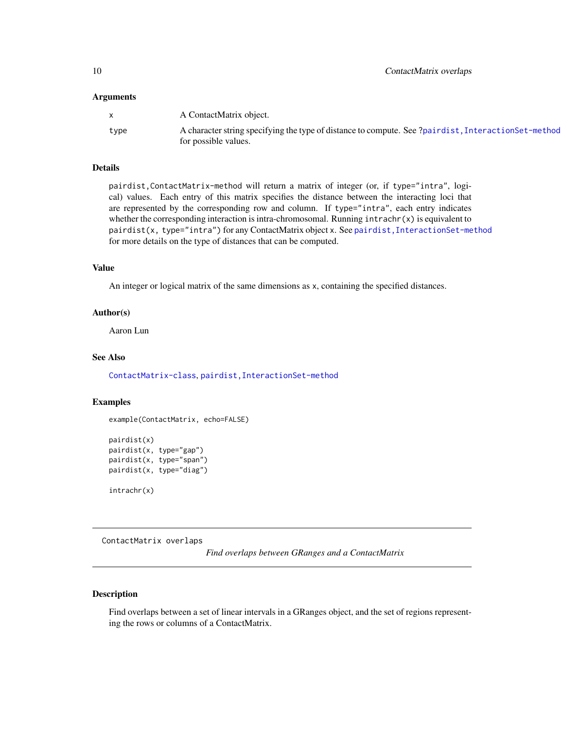#### <span id="page-9-0"></span>**Arguments**

|      | A ContactMatrix object.                                                                             |
|------|-----------------------------------------------------------------------------------------------------|
| type | A character string specifying the type of distance to compute. See ?pairdist, InteractionSet-method |
|      | for possible values.                                                                                |

## Details

pairdist,ContactMatrix-method will return a matrix of integer (or, if type="intra", logical) values. Each entry of this matrix specifies the distance between the interacting loci that are represented by the corresponding row and column. If type="intra", each entry indicates whether the corresponding interaction is intra-chromosomal. Running  $intracht(x)$  is equivalent to pairdist(x, type="intra") for any ContactMatrix object x. See pairdist, InteractionSet-method for more details on the type of distances that can be computed.

### Value

An integer or logical matrix of the same dimensions as x, containing the specified distances.

#### Author(s)

Aaron Lun

#### See Also

[ContactMatrix-class](#page-6-1), [pairdist,InteractionSet-method](#page-0-0)

#### Examples

```
example(ContactMatrix, echo=FALSE)
```

```
pairdist(x)
pairdist(x, type="gap")
pairdist(x, type="span")
pairdist(x, type="diag")
intrachr(x)
```
ContactMatrix overlaps

*Find overlaps between GRanges and a ContactMatrix*

## Description

Find overlaps between a set of linear intervals in a GRanges object, and the set of regions representing the rows or columns of a ContactMatrix.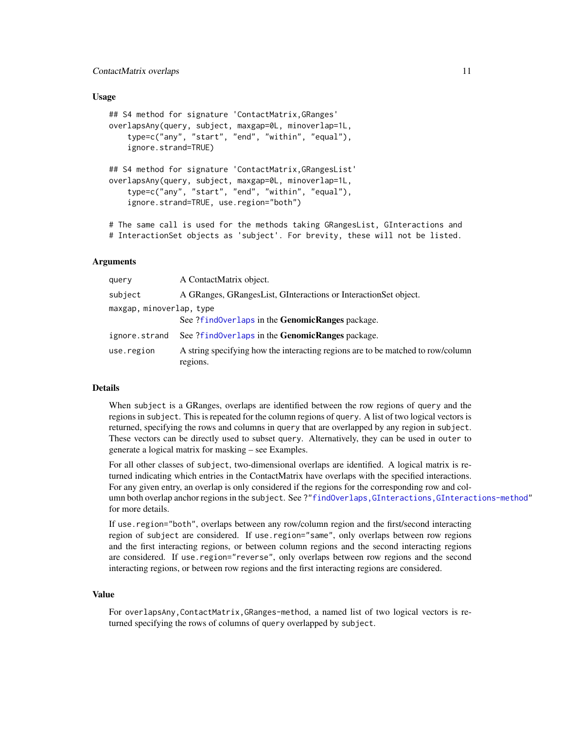#### <span id="page-10-0"></span>ContactMatrix overlaps 11

#### Usage

```
## S4 method for signature 'ContactMatrix,GRanges'
overlapsAny(query, subject, maxgap=0L, minoverlap=1L,
   type=c("any", "start", "end", "within", "equal"),
    ignore.strand=TRUE)
## S4 method for signature 'ContactMatrix,GRangesList'
overlapsAny(query, subject, maxgap=0L, minoverlap=1L,
    type=c("any", "start", "end", "within", "equal"),
    ignore.strand=TRUE, use.region="both")
```
# The same call is used for the methods taking GRangesList, GInteractions and # InteractionSet objects as 'subject'. For brevity, these will not be listed.

#### Arguments

| query                    | A ContactMatrix object.                                                                     |
|--------------------------|---------------------------------------------------------------------------------------------|
| subject                  | A GRanges, GRangesList, GInteractions or InteractionSet object.                             |
| maxgap, minoverlap, type |                                                                                             |
|                          | See ?find0verlaps in the <b>GenomicRanges</b> package.                                      |
| ignore.strand            | See ?findOverlaps in the GenomicRanges package.                                             |
| use.region               | A string specifying how the interacting regions are to be matched to row/column<br>regions. |

#### Details

When subject is a GRanges, overlaps are identified between the row regions of query and the regions in subject. This is repeated for the column regions of query. A list of two logical vectors is returned, specifying the rows and columns in query that are overlapped by any region in subject. These vectors can be directly used to subset query. Alternatively, they can be used in outer to generate a logical matrix for masking – see Examples.

For all other classes of subject, two-dimensional overlaps are identified. A logical matrix is returned indicating which entries in the ContactMatrix have overlaps with the specified interactions. For any given entry, an overlap is only considered if the regions for the corresponding row and column both overlap anchor regions in the subject. See ?["findOverlaps,GInteractions,GInteractions-method"](#page-0-0) for more details.

If use.region="both", overlaps between any row/column region and the first/second interacting region of subject are considered. If use.region="same", only overlaps between row regions and the first interacting regions, or between column regions and the second interacting regions are considered. If use.region="reverse", only overlaps between row regions and the second interacting regions, or between row regions and the first interacting regions are considered.

## Value

For overlapsAny,ContactMatrix,GRanges-method, a named list of two logical vectors is returned specifying the rows of columns of query overlapped by subject.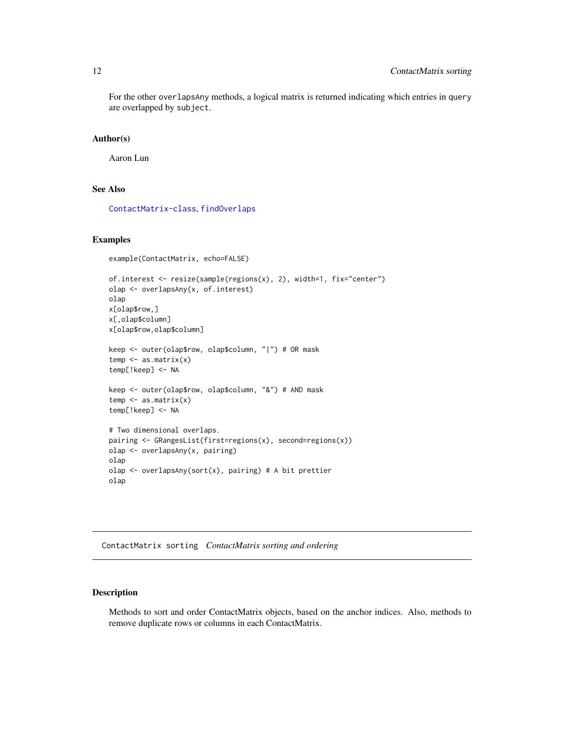<span id="page-11-0"></span>For the other overlapsAny methods, a logical matrix is returned indicating which entries in query are overlapped by subject.

#### Author(s)

Aaron Lun

#### See Also

[ContactMatrix-class](#page-6-1), [findOverlaps](#page-37-1)

#### Examples

```
example(ContactMatrix, echo=FALSE)
```

```
of.interest <- resize(sample(regions(x), 2), width=1, fix="center")
olap <- overlapsAny(x, of.interest)
olap
x[olap$row,]
x[,olap$column]
x[olap$row,olap$column]
keep <- outer(olap$row, olap$column, "|") # OR mask
temp \leftarrow as.matrix(x)temp[!keep] <- NA
keep <- outer(olap$row, olap$column, "&") # AND mask
temp <- as.matrix(x)
temp[!keep] <- NA
# Two dimensional overlaps.
pairing <- GRangesList(first=regions(x), second=regions(x))
olap <- overlapsAny(x, pairing)
olap
olap <- overlapsAny(sort(x), pairing) # A bit prettier
olap
```
ContactMatrix sorting *ContactMatrix sorting and ordering*

## <span id="page-11-1"></span>Description

Methods to sort and order ContactMatrix objects, based on the anchor indices. Also, methods to remove duplicate rows or columns in each ContactMatrix.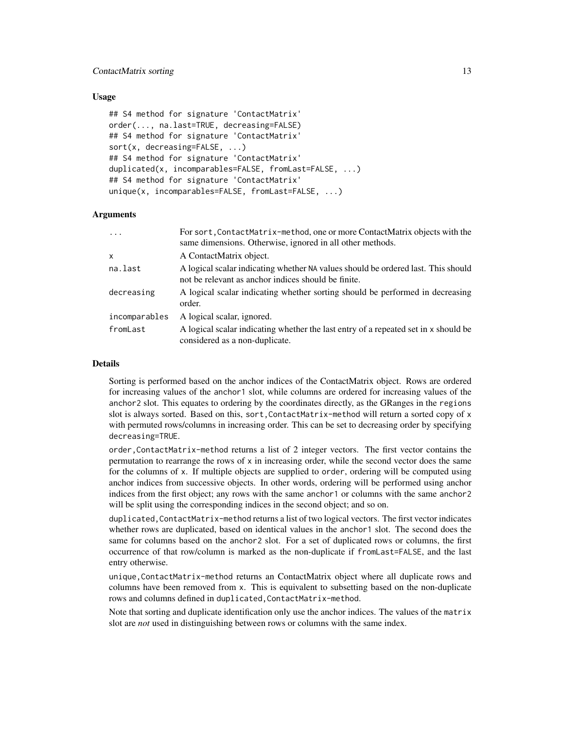#### ContactMatrix sorting 13

#### Usage

```
## S4 method for signature 'ContactMatrix'
order(..., na.last=TRUE, decreasing=FALSE)
## S4 method for signature 'ContactMatrix'
sort(x, decreasing=FALSE, ...)
## S4 method for signature 'ContactMatrix'
duplicated(x, incomparables=FALSE, fromLast=FALSE, ...)
## S4 method for signature 'ContactMatrix'
unique(x, incomparables=FALSE, fromLast=FALSE, ...)
```
### Arguments

| $\ddots$      | For sort, ContactMatrix-method, one or more ContactMatrix objects with the<br>same dimensions. Otherwise, ignored in all other methods.  |
|---------------|------------------------------------------------------------------------------------------------------------------------------------------|
| X             | A ContactMatrix object.                                                                                                                  |
| na.last       | A logical scalar indicating whether NA values should be ordered last. This should<br>not be relevant as anchor indices should be finite. |
| decreasing    | A logical scalar indicating whether sorting should be performed in decreasing<br>order.                                                  |
| incomparables | A logical scalar, ignored.                                                                                                               |
| fromLast      | A logical scalar indicating whether the last entry of a repeated set in x should be<br>considered as a non-duplicate.                    |

#### Details

Sorting is performed based on the anchor indices of the ContactMatrix object. Rows are ordered for increasing values of the anchor1 slot, while columns are ordered for increasing values of the anchor2 slot. This equates to ordering by the coordinates directly, as the GRanges in the regions slot is always sorted. Based on this, sort, ContactMatrix-method will return a sorted copy of x with permuted rows/columns in increasing order. This can be set to decreasing order by specifying decreasing=TRUE.

order,ContactMatrix-method returns a list of 2 integer vectors. The first vector contains the permutation to rearrange the rows of  $x$  in increasing order, while the second vector does the same for the columns of x. If multiple objects are supplied to order, ordering will be computed using anchor indices from successive objects. In other words, ordering will be performed using anchor indices from the first object; any rows with the same anchor1 or columns with the same anchor2 will be split using the corresponding indices in the second object; and so on.

duplicated, ContactMatrix-method returns a list of two logical vectors. The first vector indicates whether rows are duplicated, based on identical values in the anchor1 slot. The second does the same for columns based on the anchor2 slot. For a set of duplicated rows or columns, the first occurrence of that row/column is marked as the non-duplicate if fromLast=FALSE, and the last entry otherwise.

unique,ContactMatrix-method returns an ContactMatrix object where all duplicate rows and columns have been removed from x. This is equivalent to subsetting based on the non-duplicate rows and columns defined in duplicated,ContactMatrix-method.

Note that sorting and duplicate identification only use the anchor indices. The values of the matrix slot are *not* used in distinguishing between rows or columns with the same index.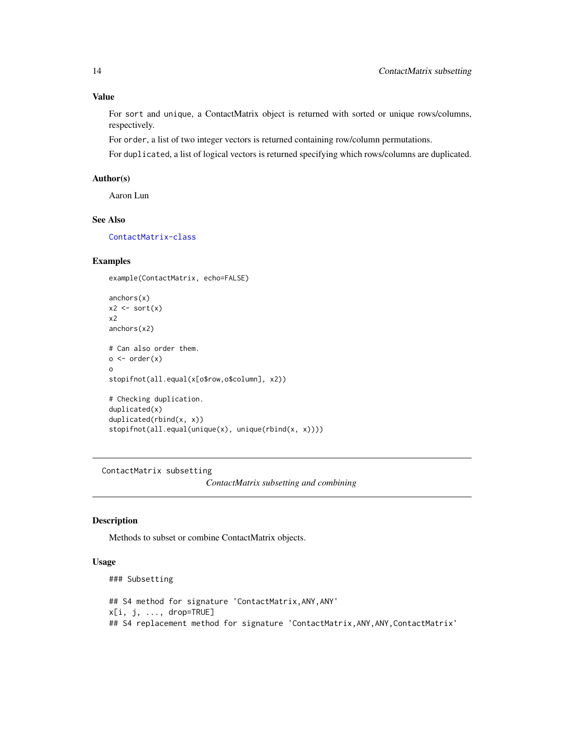## Value

For sort and unique, a ContactMatrix object is returned with sorted or unique rows/columns, respectively.

For order, a list of two integer vectors is returned containing row/column permutations.

For duplicated, a list of logical vectors is returned specifying which rows/columns are duplicated.

## Author(s)

Aaron Lun

## See Also

[ContactMatrix-class](#page-6-1)

## Examples

example(ContactMatrix, echo=FALSE)

```
anchors(x)
x2 \leftarrow sort(x)x2
anchors(x2)
# Can also order them.
o \leftarrow order(x)o
stopifnot(all.equal(x[o$row,o$column], x2))
# Checking duplication.
duplicated(x)
duplicated(rbind(x, x))
stopifnot(all.equal(unique(x), unique(rbind(x, x))))
```
ContactMatrix subsetting

*ContactMatrix subsetting and combining*

#### <span id="page-13-1"></span>Description

Methods to subset or combine ContactMatrix objects.

## Usage

```
### Subsetting
## S4 method for signature 'ContactMatrix,ANY,ANY'
x[i, j, ..., drop=TRUE]
## S4 replacement method for signature 'ContactMatrix,ANY,ANY,ContactMatrix'
```
<span id="page-13-0"></span>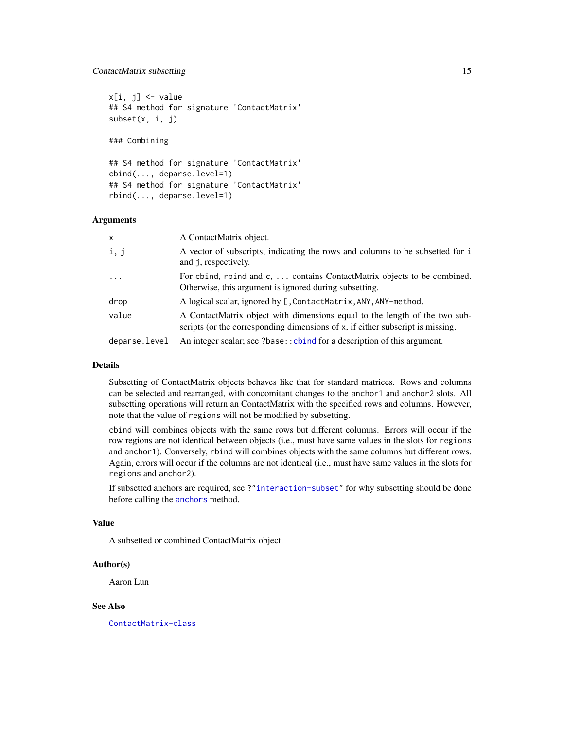## <span id="page-14-0"></span>ContactMatrix subsetting 15

 $x[i, j]$  <- value ## S4 method for signature 'ContactMatrix' subset(x, i, j)

### Combining

```
## S4 method for signature 'ContactMatrix'
cbind(..., deparse.level=1)
## S4 method for signature 'ContactMatrix'
rbind(..., deparse.level=1)
```
#### Arguments

| X             | A ContactMatrix object.                                                                                                                                         |
|---------------|-----------------------------------------------------------------------------------------------------------------------------------------------------------------|
| i, j          | A vector of subscripts, indicating the rows and columns to be subsetted for i<br>and j, respectively.                                                           |
| $\cdots$      | For chind, rbind and c,  contains ContactMatrix objects to be combined.<br>Otherwise, this argument is ignored during subsetting.                               |
| drop          | A logical scalar, ignored by [, ContactMatrix, ANY, ANY-method.                                                                                                 |
| value         | A ContactMatrix object with dimensions equal to the length of the two sub-<br>scripts (or the corresponding dimensions of $x$ , if either subscript is missing. |
| deparse.level | An integer scalar; see ?base:: cbind for a description of this argument.                                                                                        |

## Details

Subsetting of ContactMatrix objects behaves like that for standard matrices. Rows and columns can be selected and rearranged, with concomitant changes to the anchor1 and anchor2 slots. All subsetting operations will return an ContactMatrix with the specified rows and columns. However, note that the value of regions will not be modified by subsetting.

cbind will combines objects with the same rows but different columns. Errors will occur if the row regions are not identical between objects (i.e., must have same values in the slots for regions and anchor1). Conversely, rbind will combines objects with the same columns but different rows. Again, errors will occur if the columns are not identical (i.e., must have same values in the slots for regions and anchor2).

If subsetted anchors are required, see ?["interaction-subset"](#page-41-1) for why subsetting should be done before calling the [anchors](#page-23-1) method.

## Value

A subsetted or combined ContactMatrix object.

#### Author(s)

Aaron Lun

#### See Also

[ContactMatrix-class](#page-6-1)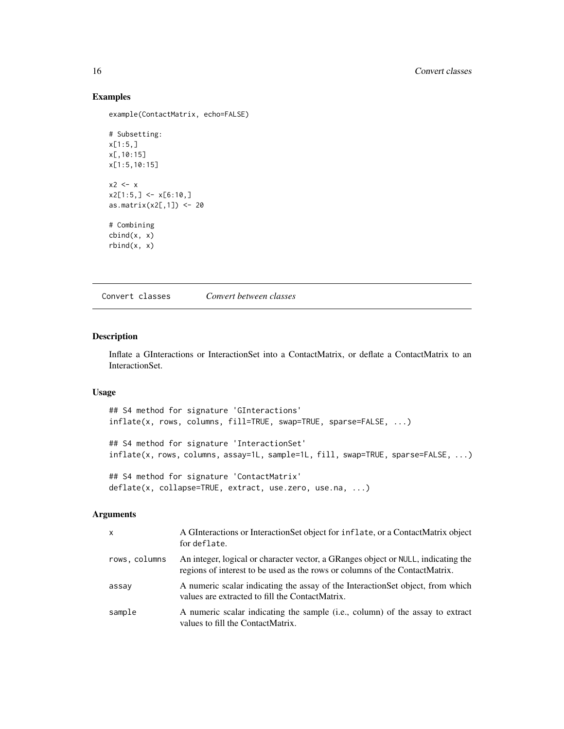#### Examples

example(ContactMatrix, echo=FALSE)

```
# Subsetting:
x[1:5,]
x[,10:15]
x[1:5,10:15]
x2 < - xx2[1:5, ] \leftarrow x[6:10, ]as.matrix(x2[,1]) <- 20
# Combining
cbind(x, x)
rbind(x, x)
```
Convert classes *Convert between classes*

## <span id="page-15-1"></span>Description

Inflate a GInteractions or InteractionSet into a ContactMatrix, or deflate a ContactMatrix to an InteractionSet.

## Usage

```
## S4 method for signature 'GInteractions'
inflate(x, rows, columns, fill=TRUE, swap=TRUE, sparse=FALSE, ...)
## S4 method for signature 'InteractionSet'
inflate(x, rows, columns, assay=1L, sample=1L, fill, swap=TRUE, sparse=FALSE, ...)
## S4 method for signature 'ContactMatrix'
deflate(x, collapse=TRUE, extract, use.zero, use.na, ...)
```
#### Arguments

| $\mathsf{x}$  | A GInteractions or Interaction Set object for inflate, or a ContactMatrix object<br>for deflate.                                                                 |
|---------------|------------------------------------------------------------------------------------------------------------------------------------------------------------------|
| rows, columns | An integer, logical or character vector, a GRanges object or NULL, indicating the<br>regions of interest to be used as the rows or columns of the ContactMatrix. |
| assay         | A numeric scalar indicating the assay of the InteractionSet object, from which<br>values are extracted to fill the ContactMatrix.                                |
| sample        | A numeric scalar indicating the sample (i.e., column) of the assay to extract<br>values to fill the ContactMatrix.                                               |

<span id="page-15-0"></span>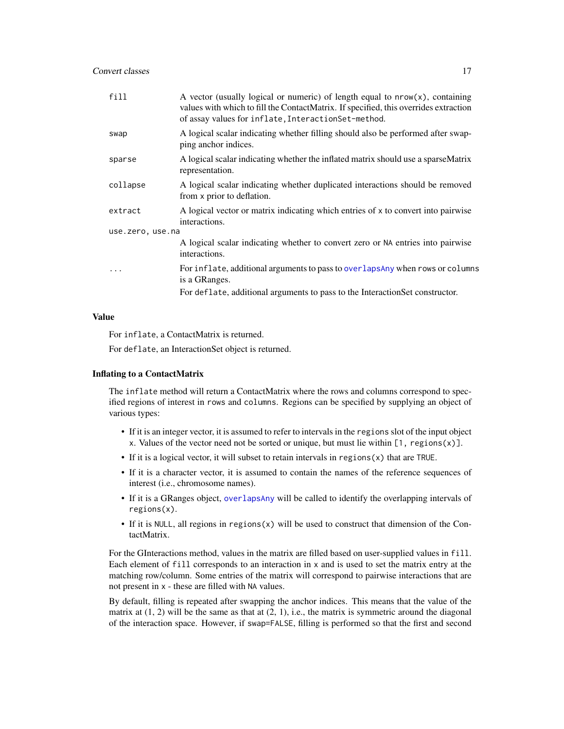<span id="page-16-0"></span>

| fill             | A vector (usually logical or numeric) of length equal to $nrow(x)$ , containing<br>values with which to fill the ContactMatrix. If specified, this overrides extraction<br>of assay values for inflate, Interaction Set-method. |
|------------------|---------------------------------------------------------------------------------------------------------------------------------------------------------------------------------------------------------------------------------|
| swap             | A logical scalar indicating whether filling should also be performed after swap-<br>ping anchor indices.                                                                                                                        |
| sparse           | A logical scalar indicating whether the inflated matrix should use a sparseMatrix<br>representation.                                                                                                                            |
| collapse         | A logical scalar indicating whether duplicated interactions should be removed<br>from x prior to deflation.                                                                                                                     |
| extract          | A logical vector or matrix indicating which entries of x to convert into pairwise<br>interactions.                                                                                                                              |
| use.zero, use.na |                                                                                                                                                                                                                                 |
|                  | A logical scalar indicating whether to convert zero or NA entries into pairwise<br>interactions.                                                                                                                                |
| $\ddotsc$        | For inflate, additional arguments to pass to overlaps Any when rows or columns<br>is a GRanges.                                                                                                                                 |
|                  | For deflate, additional arguments to pass to the InteractionSet constructor.                                                                                                                                                    |

## Value

For inflate, a ContactMatrix is returned.

For deflate, an InteractionSet object is returned.

#### Inflating to a ContactMatrix

The inflate method will return a ContactMatrix where the rows and columns correspond to specified regions of interest in rows and columns. Regions can be specified by supplying an object of various types:

- If it is an integer vector, it is assumed to refer to intervals in the regions slot of the input object x. Values of the vector need not be sorted or unique, but must lie within  $[1, \text{ regions}(x)]$ .
- If it is a logical vector, it will subset to retain intervals in regions(x) that are TRUE.
- If it is a character vector, it is assumed to contain the names of the reference sequences of interest (i.e., chromosome names).
- If it is a GRanges object, [overlapsAny](#page-37-1) will be called to identify the overlapping intervals of regions(x).
- If it is NULL, all regions in regions $(x)$  will be used to construct that dimension of the ContactMatrix.

For the GInteractions method, values in the matrix are filled based on user-supplied values in fill. Each element of fill corresponds to an interaction in x and is used to set the matrix entry at the matching row/column. Some entries of the matrix will correspond to pairwise interactions that are not present in x - these are filled with NA values.

By default, filling is repeated after swapping the anchor indices. This means that the value of the matrix at  $(1, 2)$  will be the same as that at  $(2, 1)$ , i.e., the matrix is symmetric around the diagonal of the interaction space. However, if swap=FALSE, filling is performed so that the first and second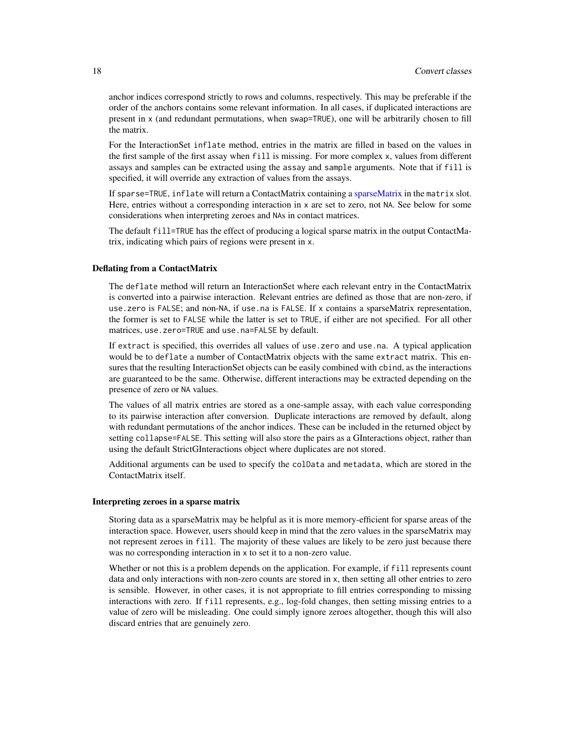<span id="page-17-0"></span>anchor indices correspond strictly to rows and columns, respectively. This may be preferable if the order of the anchors contains some relevant information. In all cases, if duplicated interactions are present in x (and redundant permutations, when swap=TRUE), one will be arbitrarily chosen to fill the matrix.

For the InteractionSet inflate method, entries in the matrix are filled in based on the values in the first sample of the first assay when fill is missing. For more complex x, values from different assays and samples can be extracted using the assay and sample arguments. Note that if fill is specified, it will override any extraction of values from the assays.

If sparse=TRUE, inflate will return a ContactMatrix containing a [sparseMatrix](#page-0-0) in the matrix slot. Here, entries without a corresponding interaction in x are set to zero, not NA. See below for some considerations when interpreting zeroes and NAs in contact matrices.

The default fill=TRUE has the effect of producing a logical sparse matrix in the output ContactMatrix, indicating which pairs of regions were present in x.

## Deflating from a ContactMatrix

The deflate method will return an InteractionSet where each relevant entry in the ContactMatrix is converted into a pairwise interaction. Relevant entries are defined as those that are non-zero, if use.zero is FALSE; and non-NA, if use.na is FALSE. If x contains a sparseMatrix representation, the former is set to FALSE while the latter is set to TRUE, if either are not specified. For all other matrices, use.zero=TRUE and use.na=FALSE by default.

If extract is specified, this overrides all values of use.zero and use.na. A typical application would be to deflate a number of ContactMatrix objects with the same extract matrix. This ensures that the resulting InteractionSet objects can be easily combined with cbind, as the interactions are guaranteed to be the same. Otherwise, different interactions may be extracted depending on the presence of zero or NA values.

The values of all matrix entries are stored as a one-sample assay, with each value corresponding to its pairwise interaction after conversion. Duplicate interactions are removed by default, along with redundant permutations of the anchor indices. These can be included in the returned object by setting collapse=FALSE. This setting will also store the pairs as a GInteractions object, rather than using the default StrictGInteractions object where duplicates are not stored.

Additional arguments can be used to specify the colData and metadata, which are stored in the ContactMatrix itself.

#### Interpreting zeroes in a sparse matrix

Storing data as a sparseMatrix may be helpful as it is more memory-efficient for sparse areas of the interaction space. However, users should keep in mind that the zero values in the sparseMatrix may not represent zeroes in fill. The majority of these values are likely to be zero just because there was no corresponding interaction in x to set it to a non-zero value.

Whether or not this is a problem depends on the application. For example, if fill represents count data and only interactions with non-zero counts are stored in x, then setting all other entries to zero is sensible. However, in other cases, it is not appropriate to fill entries corresponding to missing interactions with zero. If fill represents, e.g., log-fold changes, then setting missing entries to a value of zero will be misleading. One could simply ignore zeroes altogether, though this will also discard entries that are genuinely zero.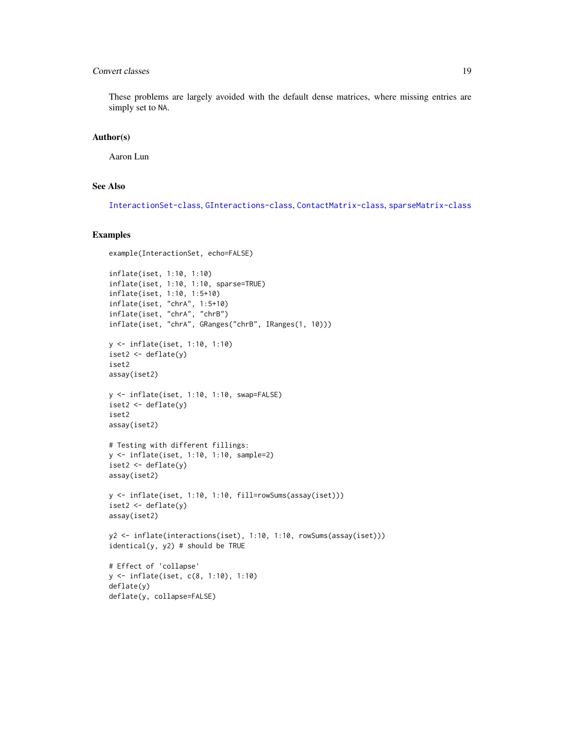## **Convert classes** 19

These problems are largely avoided with the default dense matrices, where missing entries are simply set to NA.

#### Author(s)

Aaron Lun

## See Also

[InteractionSet-class](#page-43-1), [GInteractions-class](#page-19-1), [ContactMatrix-class](#page-6-1), [sparseMatrix-class](#page-0-0)

#### Examples

```
example(InteractionSet, echo=FALSE)
inflate(iset, 1:10, 1:10)
inflate(iset, 1:10, 1:10, sparse=TRUE)
inflate(iset, 1:10, 1:5+10)
inflate(iset, "chrA", 1:5+10)
inflate(iset, "chrA", "chrB")
inflate(iset, "chrA", GRanges("chrB", IRanges(1, 10)))
y <- inflate(iset, 1:10, 1:10)
iset2 <- deflate(y)
iset2
assay(iset2)
y <- inflate(iset, 1:10, 1:10, swap=FALSE)
iset2 <- deflate(y)
iset2
assay(iset2)
# Testing with different fillings:
y <- inflate(iset, 1:10, 1:10, sample=2)
iset2 <- deflate(y)
assay(iset2)
y <- inflate(iset, 1:10, 1:10, fill=rowSums(assay(iset)))
iset2 <- deflate(y)
assay(iset2)
y2 <- inflate(interactions(iset), 1:10, 1:10, rowSums(assay(iset)))
identical(y, y2) # should be TRUE
# Effect of 'collapse'
y <- inflate(iset, c(8, 1:10), 1:10)
deflate(y)
deflate(y, collapse=FALSE)
```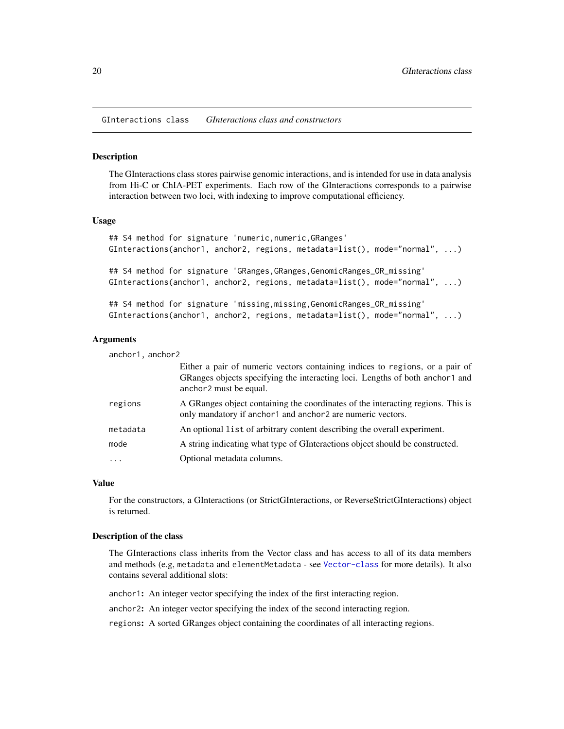<span id="page-19-0"></span>GInteractions class *GInteractions class and constructors*

#### <span id="page-19-1"></span>Description

The GInteractions class stores pairwise genomic interactions, and is intended for use in data analysis from Hi-C or ChIA-PET experiments. Each row of the GInteractions corresponds to a pairwise interaction between two loci, with indexing to improve computational efficiency.

#### Usage

```
## S4 method for signature 'numeric,numeric, GRanges'
GInteractions(anchor1, anchor2, regions, metadata=list(), mode="normal", ...)
```
## S4 method for signature 'GRanges,GRanges,GenomicRanges\_OR\_missing' GInteractions(anchor1, anchor2, regions, metadata=list(), mode="normal", ...)

## S4 method for signature 'missing,missing,GenomicRanges\_OR\_missing' GInteractions(anchor1, anchor2, regions, metadata=list(), mode="normal", ...)

## **Arguments**

| anchor1, anchor2 |                                                                                                                                                                                        |
|------------------|----------------------------------------------------------------------------------------------------------------------------------------------------------------------------------------|
|                  | Either a pair of numeric vectors containing indices to regions, or a pair of<br>GRanges objects specifying the interacting loci. Lengths of both anchor1 and<br>anchor2 must be equal. |
| regions          | A GRanges object containing the coordinates of the interacting regions. This is<br>only mandatory if anchor1 and anchor2 are numeric vectors.                                          |
| metadata         | An optional list of arbitrary content describing the overall experiment.                                                                                                               |
| mode             | A string indicating what type of GInteractions object should be constructed.                                                                                                           |
| $\cdot$          | Optional metadata columns.                                                                                                                                                             |
|                  |                                                                                                                                                                                        |

#### Value

For the constructors, a GInteractions (or StrictGInteractions, or ReverseStrictGInteractions) object is returned.

#### Description of the class

The GInteractions class inherits from the Vector class and has access to all of its data members and methods (e.g, metadata and elementMetadata - see [Vector-class](#page-0-0) for more details). It also contains several additional slots:

anchor1: An integer vector specifying the index of the first interacting region.

anchor2: An integer vector specifying the index of the second interacting region.

regions: A sorted GRanges object containing the coordinates of all interacting regions.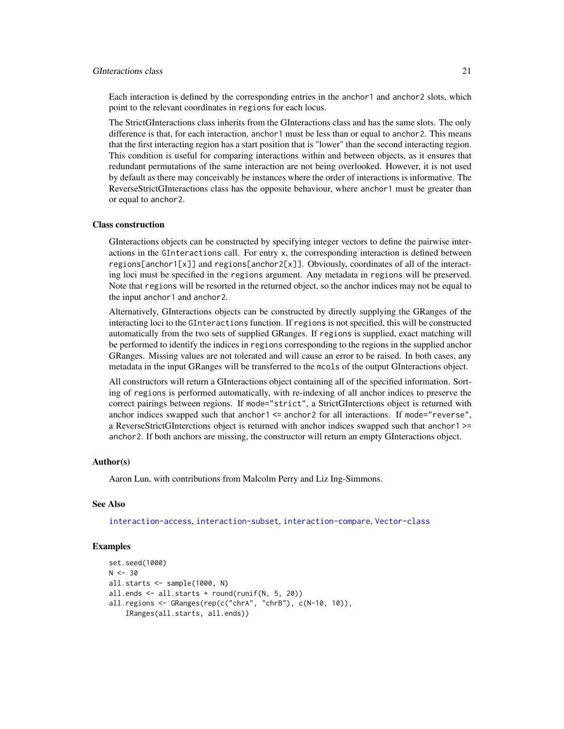#### GInteractions class 21

Each interaction is defined by the corresponding entries in the anchor1 and anchor2 slots, which point to the relevant coordinates in regions for each locus.

The StrictGInteractions class inherits from the GInteractions class and has the same slots. The only difference is that, for each interaction, anchor1 must be less than or equal to anchor2. This means that the first interacting region has a start position that is "lower" than the second interacting region. This condition is useful for comparing interactions within and between objects, as it ensures that redundant permutations of the same interaction are not being overlooked. However, it is not used by default as there may conceivably be instances where the order of interactions is informative. The ReverseStrictGInteractions class has the opposite behaviour, where anchor1 must be greater than or equal to anchor2.

#### Class construction

GInteractions objects can be constructed by specifying integer vectors to define the pairwise interactions in the GInteractions call. For entry x, the corresponding interaction is defined between regions[anchor1[x]] and regions[anchor2[x]]. Obviously, coordinates of all of the interacting loci must be specified in the regions argument. Any metadata in regions will be preserved. Note that regions will be resorted in the returned object, so the anchor indices may not be equal to the input anchor1 and anchor2.

Alternatively, GInteractions objects can be constructed by directly supplying the GRanges of the interacting loci to the GInteractions function. If regions is not specified, this will be constructed automatically from the two sets of supplied GRanges. If regions is supplied, exact matching will be performed to identify the indices in regions corresponding to the regions in the supplied anchor GRanges. Missing values are not tolerated and will cause an error to be raised. In both cases, any metadata in the input GRanges will be transferred to the mcols of the output GInteractions object.

All constructors will return a GInteractions object containing all of the specified information. Sorting of regions is performed automatically, with re-indexing of all anchor indices to preserve the correct pairings between regions. If mode="strict", a StrictGInterctions object is returned with anchor indices swapped such that anchor1 <= anchor2 for all interactions. If mode="reverse", a ReverseStrictGInterctions object is returned with anchor indices swapped such that anchor1 >= anchor2. If both anchors are missing, the constructor will return an empty GInteractions object.

#### Author(s)

Aaron Lun, with contributions from Malcolm Perry and Liz Ing-Simmons.

#### See Also

[interaction-access](#page-23-1), [interaction-subset](#page-41-1), [interaction-compare](#page-31-1), [Vector-class](#page-0-0)

## Examples

```
set.seed(1000)
N < -30all.starts <- sample(1000, N)
all.ends <- all.starts + round(runif(N, 5, 20))
all.regions <- GRanges(rep(c("chrA", "chrB"), c(N-10, 10)),
    IRanges(all.starts, all.ends))
```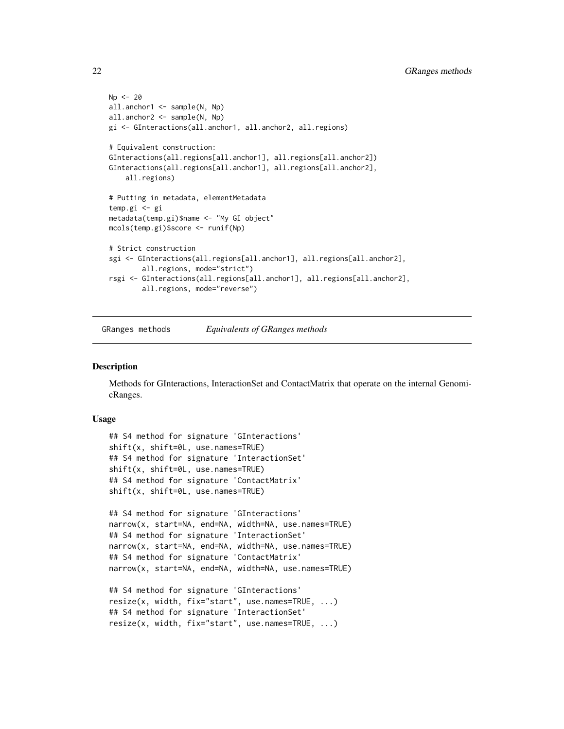```
Np < -20all.anchor1 <- sample(N, Np)
all.anchor2 <- sample(N, Np)
gi <- GInteractions(all.anchor1, all.anchor2, all.regions)
# Equivalent construction:
GInteractions(all.regions[all.anchor1], all.regions[all.anchor2])
GInteractions(all.regions[all.anchor1], all.regions[all.anchor2],
    all.regions)
# Putting in metadata, elementMetadata
temp.gi <- gi
metadata(temp.gi)$name <- "My GI object"
mcols(temp.gi)$score <- runif(Np)
# Strict construction
sgi <- GInteractions(all.regions[all.anchor1], all.regions[all.anchor2],
        all.regions, mode="strict")
rsgi <- GInteractions(all.regions[all.anchor1], all.regions[all.anchor2],
       all.regions, mode="reverse")
```
GRanges methods *Equivalents of GRanges methods*

#### **Description**

Methods for GInteractions, InteractionSet and ContactMatrix that operate on the internal GenomicRanges.

#### Usage

```
## S4 method for signature 'GInteractions'
shift(x, shift=0L, use.names=TRUE)
## S4 method for signature 'InteractionSet'
shift(x, shift=0L, use.names=TRUE)
## S4 method for signature 'ContactMatrix'
shift(x, shift=0L, use.names=TRUE)
```

```
## S4 method for signature 'GInteractions'
narrow(x, start=NA, end=NA, width=NA, use.names=TRUE)
## S4 method for signature 'InteractionSet'
narrow(x, start=NA, end=NA, width=NA, use.names=TRUE)
## S4 method for signature 'ContactMatrix'
narrow(x, start=NA, end=NA, width=NA, use.names=TRUE)
```

```
## S4 method for signature 'GInteractions'
resize(x, width, fix="start", use.names=TRUE, ...)
## S4 method for signature 'InteractionSet'
resize(x, width, fix="start", use.names=TRUE, ...)
```
<span id="page-21-0"></span>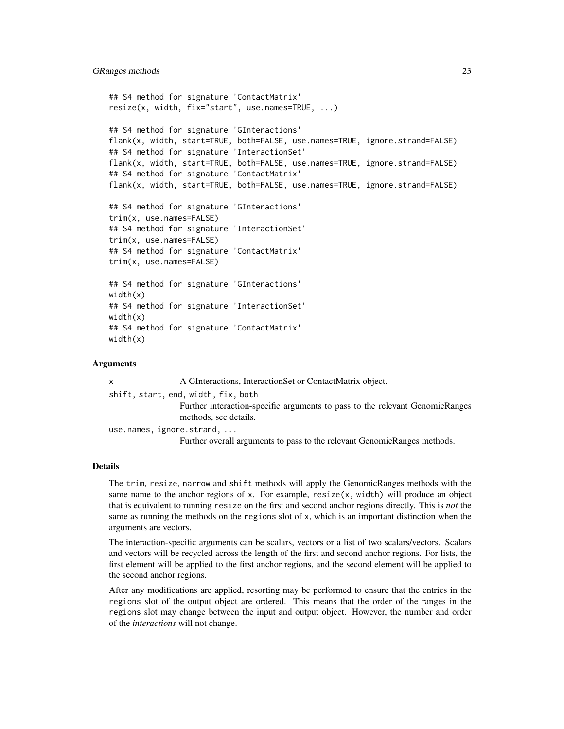```
## S4 method for signature 'ContactMatrix'
resize(x, width, fix="start", use.names=TRUE, ...)
## S4 method for signature 'GInteractions'
flank(x, width, start=TRUE, both=FALSE, use.names=TRUE, ignore.strand=FALSE)
## S4 method for signature 'InteractionSet'
flank(x, width, start=TRUE, both=FALSE, use.names=TRUE, ignore.strand=FALSE)
## S4 method for signature 'ContactMatrix'
flank(x, width, start=TRUE, both=FALSE, use.names=TRUE, ignore.strand=FALSE)
## S4 method for signature 'GInteractions'
trim(x, use.names=FALSE)
## S4 method for signature 'InteractionSet'
trim(x, use.names=FALSE)
## S4 method for signature 'ContactMatrix'
trim(x, use.names=FALSE)
## S4 method for signature 'GInteractions'
width(x)
## S4 method for signature 'InteractionSet'
width(x)
## S4 method for signature 'ContactMatrix'
width(x)
```
#### Arguments

| <b>X</b> | A GInteractions, InteractionSet or ContactMatrix object.                                              |
|----------|-------------------------------------------------------------------------------------------------------|
|          | shift, start, end, width, fix, both                                                                   |
|          | Further interaction-specific arguments to pass to the relevant GenomicRanges<br>methods, see details. |
|          | use.names, ignore.strand,                                                                             |
|          | Further overall arguments to pass to the relevant GenomicRanges methods.                              |

### Details

The trim, resize, narrow and shift methods will apply the GenomicRanges methods with the same name to the anchor regions of x. For example,  $resize(x, width)$  will produce an object that is equivalent to running resize on the first and second anchor regions directly. This is *not* the same as running the methods on the regions slot of x, which is an important distinction when the arguments are vectors.

The interaction-specific arguments can be scalars, vectors or a list of two scalars/vectors. Scalars and vectors will be recycled across the length of the first and second anchor regions. For lists, the first element will be applied to the first anchor regions, and the second element will be applied to the second anchor regions.

After any modifications are applied, resorting may be performed to ensure that the entries in the regions slot of the output object are ordered. This means that the order of the ranges in the regions slot may change between the input and output object. However, the number and order of the *interactions* will not change.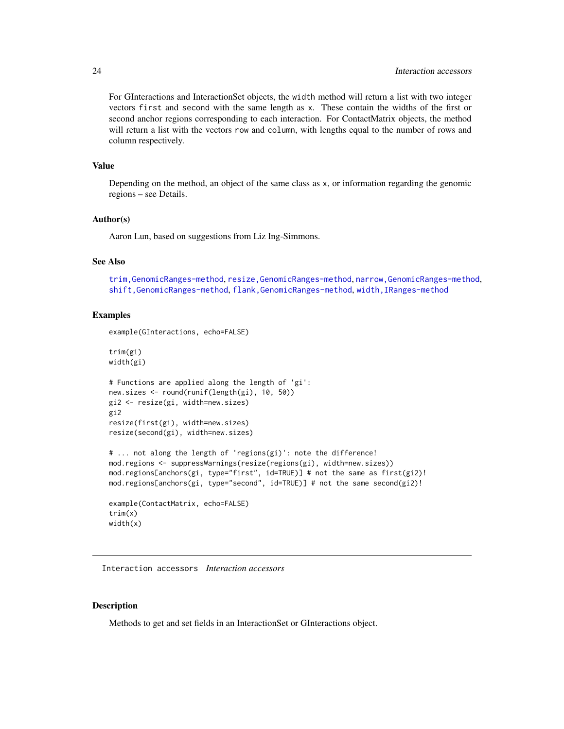<span id="page-23-0"></span>For GInteractions and InteractionSet objects, the width method will return a list with two integer vectors first and second with the same length as x. These contain the widths of the first or second anchor regions corresponding to each interaction. For ContactMatrix objects, the method will return a list with the vectors row and column, with lengths equal to the number of rows and column respectively.

#### Value

Depending on the method, an object of the same class as x, or information regarding the genomic regions – see Details.

#### Author(s)

Aaron Lun, based on suggestions from Liz Ing-Simmons.

## See Also

[trim,GenomicRanges-method](#page-0-0), [resize,GenomicRanges-method](#page-0-0), [narrow,GenomicRanges-method](#page-0-0), [shift,GenomicRanges-method](#page-0-0), [flank,GenomicRanges-method](#page-0-0), [width,IRanges-method](#page-0-0)

#### Examples

example(GInteractions, echo=FALSE)

trim(gi) width(gi)

```
# Functions are applied along the length of 'gi':
new.sizes <- round(runif(length(gi), 10, 50))
gi2 <- resize(gi, width=new.sizes)
gi2
resize(first(gi), width=new.sizes)
resize(second(gi), width=new.sizes)
```

```
# ... not along the length of 'regions(gi)': note the difference!
mod.regions <- suppressWarnings(resize(regions(gi), width=new.sizes))
mod.regions[anchors(gi, type="first", id=TRUE)] # not the same as first(gi2)!
mod. regions[anchors(gi, type="second", id=TRUE)] # not the same second(gi2)!
```

```
example(ContactMatrix, echo=FALSE)
trim(x)
width(x)
```
Interaction accessors *Interaction accessors*

#### <span id="page-23-1"></span>**Description**

Methods to get and set fields in an InteractionSet or GInteractions object.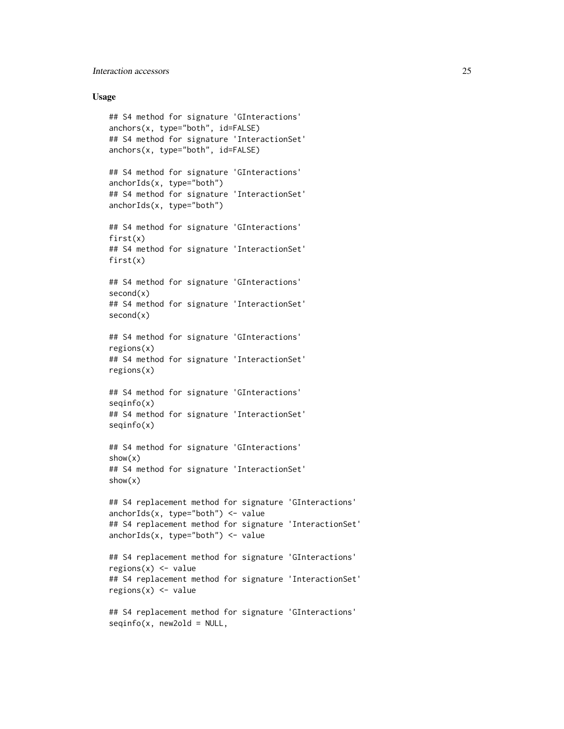## Interaction accessors 25

#### Usage

```
## S4 method for signature 'GInteractions'
anchors(x, type="both", id=FALSE)
## S4 method for signature 'InteractionSet'
anchors(x, type="both", id=FALSE)
## S4 method for signature 'GInteractions'
anchorIds(x, type="both")
## S4 method for signature 'InteractionSet'
anchorIds(x, type="both")
## S4 method for signature 'GInteractions'
first(x)
## S4 method for signature 'InteractionSet'
first(x)
## S4 method for signature 'GInteractions'
second(x)
## S4 method for signature 'InteractionSet'
second(x)
## S4 method for signature 'GInteractions'
regions(x)
## S4 method for signature 'InteractionSet'
regions(x)
## S4 method for signature 'GInteractions'
seqinfo(x)
## S4 method for signature 'InteractionSet'
seqinfo(x)
## S4 method for signature 'GInteractions'
show(x)
## S4 method for signature 'InteractionSet'
show(x)
## S4 replacement method for signature 'GInteractions'
anchorIds(x, type="both") \leftarrow value## S4 replacement method for signature 'InteractionSet'
anchorIds(x, type="both") \leftarrow value## S4 replacement method for signature 'GInteractions'
regions(x) < - value
## S4 replacement method for signature 'InteractionSet'
regions(x) < - value
## S4 replacement method for signature 'GInteractions'
```
 $seqinfo(x, new2old = NULL,$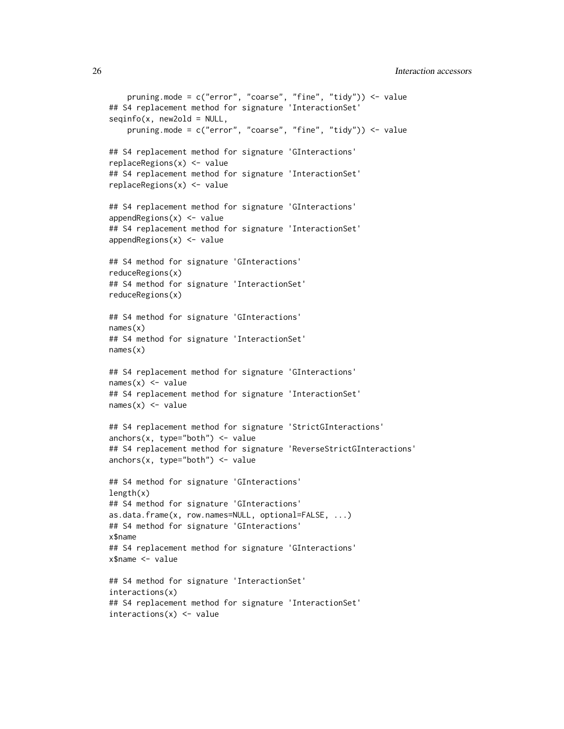```
pruning.mode = c("error", "coarse", "fine", "tidy")) <- value
## S4 replacement method for signature 'InteractionSet'
seqinfo(x, new2old = NULL,pruning.mode = c("error", "coarse", "fine", "tidy")) <- value
## S4 replacement method for signature 'GInteractions'
replaceRegions(x) <- value
## S4 replacement method for signature 'InteractionSet'
replaceRegions(x) <- value
## S4 replacement method for signature 'GInteractions'
appendRegions(x) < - value## S4 replacement method for signature 'InteractionSet'
appendRegions(x) <- value
## S4 method for signature 'GInteractions'
reduceRegions(x)
## S4 method for signature 'InteractionSet'
reduceRegions(x)
## S4 method for signature 'GInteractions'
names(x)
## S4 method for signature 'InteractionSet'
names(x)
## S4 replacement method for signature 'GInteractions'
names(x) <- value
## S4 replacement method for signature 'InteractionSet'
names(x) <- value
## S4 replacement method for signature 'StrictGInteractions'
anchors(x, type="both") < - value## S4 replacement method for signature 'ReverseStrictGInteractions'
anchors(x, type="both") < - value## S4 method for signature 'GInteractions'
length(x)## S4 method for signature 'GInteractions'
as.data.frame(x, row.names=NULL, optional=FALSE, ...)
## S4 method for signature 'GInteractions'
x$name
## S4 replacement method for signature 'GInteractions'
x$name <- value
## S4 method for signature 'InteractionSet'
interactions(x)
## S4 replacement method for signature 'InteractionSet'
interactions(x) < - value
```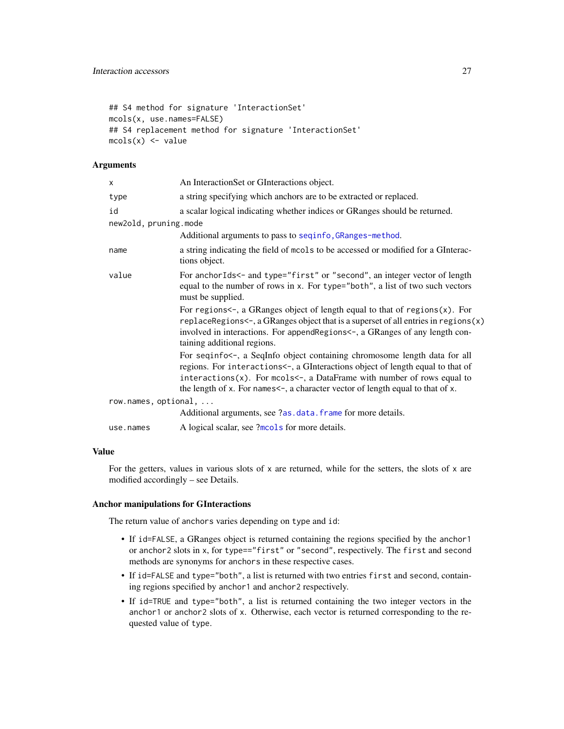```
## S4 method for signature 'InteractionSet'
mcols(x, use.names=FALSE)
## S4 replacement method for signature 'InteractionSet'
mcols(x) < - value
```
#### **Arguments**

| x                     | An InteractionSet or GInteractions object.                                                                                                                                                                                                                                                                                  |
|-----------------------|-----------------------------------------------------------------------------------------------------------------------------------------------------------------------------------------------------------------------------------------------------------------------------------------------------------------------------|
| type                  | a string specifying which anchors are to be extracted or replaced.                                                                                                                                                                                                                                                          |
| id                    | a scalar logical indicating whether indices or GRanges should be returned.                                                                                                                                                                                                                                                  |
| new2old, pruning.mode |                                                                                                                                                                                                                                                                                                                             |
|                       | Additional arguments to pass to seqinfo, GRanges-method.                                                                                                                                                                                                                                                                    |
| name                  | a string indicating the field of mools to be accessed or modified for a GInterac-<br>tions object.                                                                                                                                                                                                                          |
| value                 | For anchorIds<- and type="first" or "second", an integer vector of length<br>equal to the number of rows in x. For type="both", a list of two such vectors<br>must be supplied.                                                                                                                                             |
|                       | For regions $\leftarrow$ , a GRanges object of length equal to that of regions $(x)$ . For<br>replaceRegions<-, a GRanges object that is a superset of all entries in regions $(x)$<br>involved in interactions. For append Regions <-, a GRanges of any length con-<br>taining additional regions.                         |
|                       | For seqinfo<-, a SeqInfo object containing chromosome length data for all<br>regions. For interactions<-, a GInteractions object of length equal to that of<br>$interactions(x)$ . For mcols<-, a DataFrame with number of rows equal to<br>the length of x. For names <-, a character vector of length equal to that of x. |
| row.names, optional,  |                                                                                                                                                                                                                                                                                                                             |
|                       | Additional arguments, see ?as.data.frame for more details.                                                                                                                                                                                                                                                                  |
| use.names             | A logical scalar, see ?mols for more details.                                                                                                                                                                                                                                                                               |

## Value

For the getters, values in various slots of  $x$  are returned, while for the setters, the slots of  $x$  are modified accordingly – see Details.

#### Anchor manipulations for GInteractions

The return value of anchors varies depending on type and id:

- If id=FALSE, a GRanges object is returned containing the regions specified by the anchor1 or anchor2 slots in x, for type=="first" or "second", respectively. The first and second methods are synonyms for anchors in these respective cases.
- If id=FALSE and type="both", a list is returned with two entries first and second, containing regions specified by anchor1 and anchor2 respectively.
- If id=TRUE and type="both", a list is returned containing the two integer vectors in the anchor1 or anchor2 slots of x. Otherwise, each vector is returned corresponding to the requested value of type.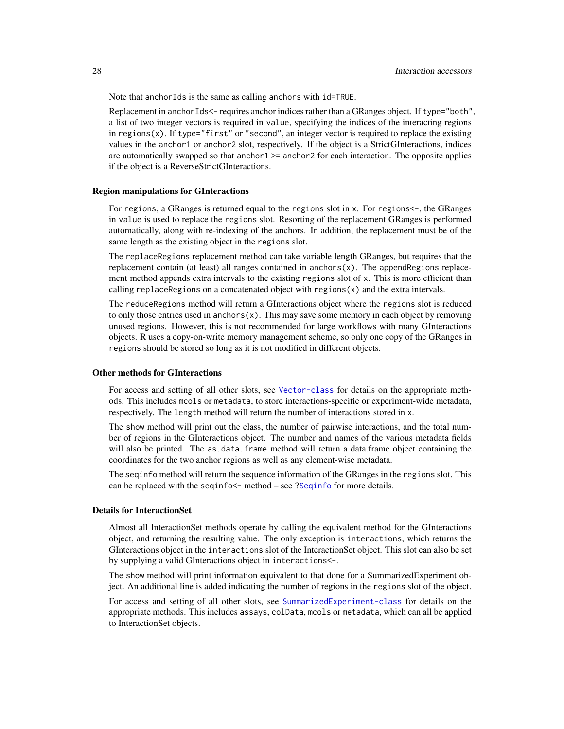Note that anchorIds is the same as calling anchors with id=TRUE.

Replacement in anchorIds<- requires anchor indices rather than a GRanges object. If type="both", a list of two integer vectors is required in value, specifying the indices of the interacting regions in regions(x). If type="first" or "second", an integer vector is required to replace the existing values in the anchor1 or anchor2 slot, respectively. If the object is a StrictGInteractions, indices are automatically swapped so that anchor1 >= anchor2 for each interaction. The opposite applies if the object is a ReverseStrictGInteractions.

#### Region manipulations for GInteractions

For regions, a GRanges is returned equal to the regions slot in x. For regions<-, the GRanges in value is used to replace the regions slot. Resorting of the replacement GRanges is performed automatically, along with re-indexing of the anchors. In addition, the replacement must be of the same length as the existing object in the regions slot.

The replaceRegions replacement method can take variable length GRanges, but requires that the replacement contain (at least) all ranges contained in anchors $(x)$ . The appendRegions replacement method appends extra intervals to the existing regions slot of x. This is more efficient than calling replaceRegions on a concatenated object with regions $(x)$  and the extra intervals.

The reduceRegions method will return a GInteractions object where the regions slot is reduced to only those entries used in anchors $(x)$ . This may save some memory in each object by removing unused regions. However, this is not recommended for large workflows with many GInteractions objects. R uses a copy-on-write memory management scheme, so only one copy of the GRanges in regions should be stored so long as it is not modified in different objects.

#### Other methods for GInteractions

For access and setting of all other slots, see [Vector-class](#page-0-0) for details on the appropriate methods. This includes mcols or metadata, to store interactions-specific or experiment-wide metadata, respectively. The length method will return the number of interactions stored in x.

The show method will print out the class, the number of pairwise interactions, and the total number of regions in the GInteractions object. The number and names of the various metadata fields will also be printed. The as.data.frame method will return a data.frame object containing the coordinates for the two anchor regions as well as any element-wise metadata.

The seqinfo method will return the sequence information of the GRanges in the regions slot. This can be replaced with the seqinfo<- method – see [?Seqinfo](#page-0-0) for more details.

#### Details for InteractionSet

Almost all InteractionSet methods operate by calling the equivalent method for the GInteractions object, and returning the resulting value. The only exception is interactions, which returns the GInteractions object in the interactions slot of the InteractionSet object. This slot can also be set by supplying a valid GInteractions object in interactions<-.

The show method will print information equivalent to that done for a SummarizedExperiment object. An additional line is added indicating the number of regions in the regions slot of the object.

For access and setting of all other slots, see [SummarizedExperiment-class](#page-0-0) for details on the appropriate methods. This includes assays, colData, mcols or metadata, which can all be applied to InteractionSet objects.

<span id="page-27-0"></span>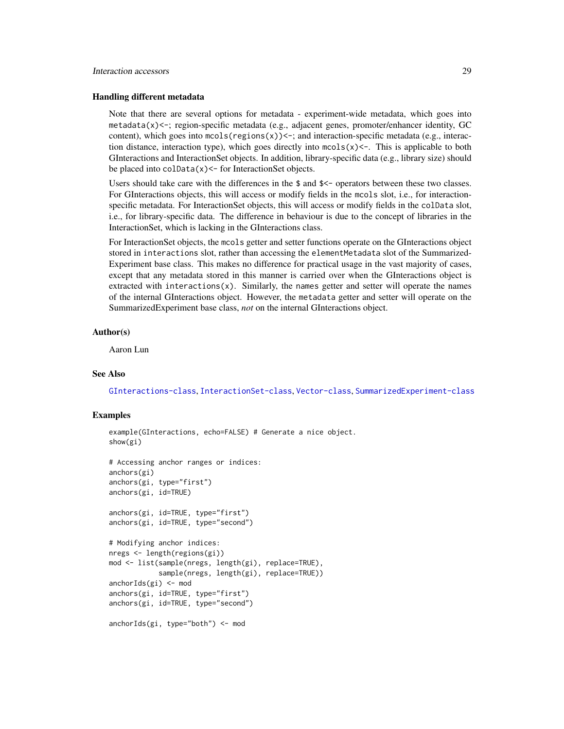#### Interaction accessors 29

#### Handling different metadata

Note that there are several options for metadata - experiment-wide metadata, which goes into metadata(x)<-; region-specific metadata (e.g., adjacent genes, promoter/enhancer identity, GC content), which goes into  $\text{mcols}(\text{regions}(x)) \leq \cdot$ ; and interaction-specific metadata (e.g., interaction distance, interaction type), which goes directly into  ${mods(x) < -}$ . This is applicable to both GInteractions and InteractionSet objects. In addition, library-specific data (e.g., library size) should be placed into  $\text{colData}(x)$  <- for InteractionSet objects.

Users should take care with the differences in the \$ and \$<- operators between these two classes. For GInteractions objects, this will access or modify fields in the mcols slot, i.e., for interactionspecific metadata. For InteractionSet objects, this will access or modify fields in the colData slot, i.e., for library-specific data. The difference in behaviour is due to the concept of libraries in the InteractionSet, which is lacking in the GInteractions class.

For InteractionSet objects, the mcols getter and setter functions operate on the GInteractions object stored in interactions slot, rather than accessing the elementMetadata slot of the Summarized-Experiment base class. This makes no difference for practical usage in the vast majority of cases, except that any metadata stored in this manner is carried over when the GInteractions object is extracted with interactions $(x)$ . Similarly, the names getter and setter will operate the names of the internal GInteractions object. However, the metadata getter and setter will operate on the SummarizedExperiment base class, *not* on the internal GInteractions object.

#### Author(s)

Aaron Lun

#### See Also

[GInteractions-class](#page-19-1), [InteractionSet-class](#page-43-1), [Vector-class](#page-0-0), [SummarizedExperiment-class](#page-0-0)

#### Examples

```
example(GInteractions, echo=FALSE) # Generate a nice object.
show(gi)
# Accessing anchor ranges or indices:
anchors(gi)
anchors(gi, type="first")
anchors(gi, id=TRUE)
anchors(gi, id=TRUE, type="first")
anchors(gi, id=TRUE, type="second")
# Modifying anchor indices:
nregs <- length(regions(gi))
mod <- list(sample(nregs, length(gi), replace=TRUE),
            sample(nregs, length(gi), replace=TRUE))
anchorIds(gi) <- mod
anchors(gi, id=TRUE, type="first")
anchors(gi, id=TRUE, type="second")
anchorIds(gi, type="both") <- mod
```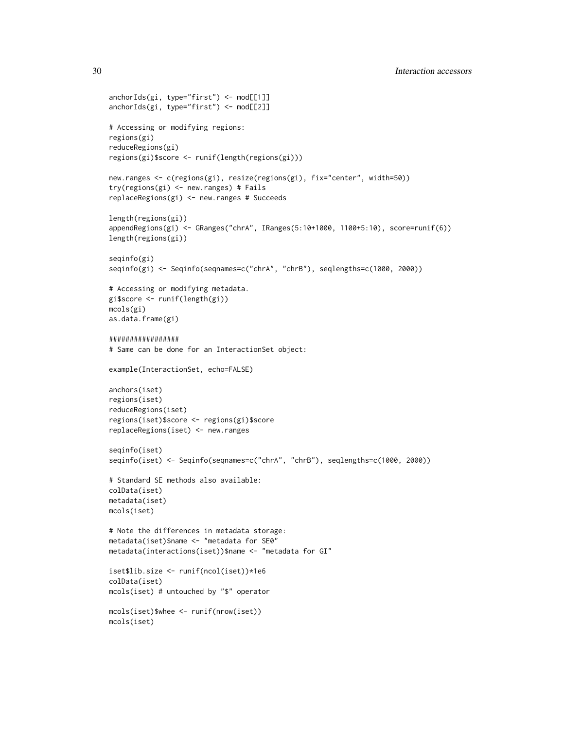```
anchorIds(gi, type="first") <- mod[[1]]
anchorIds(gi, type="first") <- mod[[2]]
# Accessing or modifying regions:
regions(gi)
reduceRegions(gi)
regions(gi)$score <- runif(length(regions(gi)))
new.ranges <- c(regions(gi), resize(regions(gi), fix="center", width=50))
try(regions(gi) <- new.ranges) # Fails
replaceRegions(gi) <- new.ranges # Succeeds
length(regions(gi))
appendRegions(gi) <- GRanges("chrA", IRanges(5:10+1000, 1100+5:10), score=runif(6))
length(regions(gi))
seqinfo(gi)
seqinfo(gi) <- Seqinfo(seqnames=c("chrA", "chrB"), seqlengths=c(1000, 2000))
# Accessing or modifying metadata.
gi$score <- runif(length(gi))
mcols(gi)
as.data.frame(gi)
#################
# Same can be done for an InteractionSet object:
example(InteractionSet, echo=FALSE)
anchors(iset)
regions(iset)
reduceRegions(iset)
regions(iset)$score <- regions(gi)$score
replaceRegions(iset) <- new.ranges
seqinfo(iset)
seqinfo(iset) <- Seqinfo(seqnames=c("chrA", "chrB"), seqlengths=c(1000, 2000))
# Standard SE methods also available:
colData(iset)
metadata(iset)
mcols(iset)
# Note the differences in metadata storage:
metadata(iset)$name <- "metadata for SE0"
metadata(interactions(iset))$name <- "metadata for GI"
iset$lib.size <- runif(ncol(iset))*1e6
colData(iset)
mcols(iset) # untouched by "$" operator
mcols(iset)$whee <- runif(nrow(iset))
mcols(iset)
```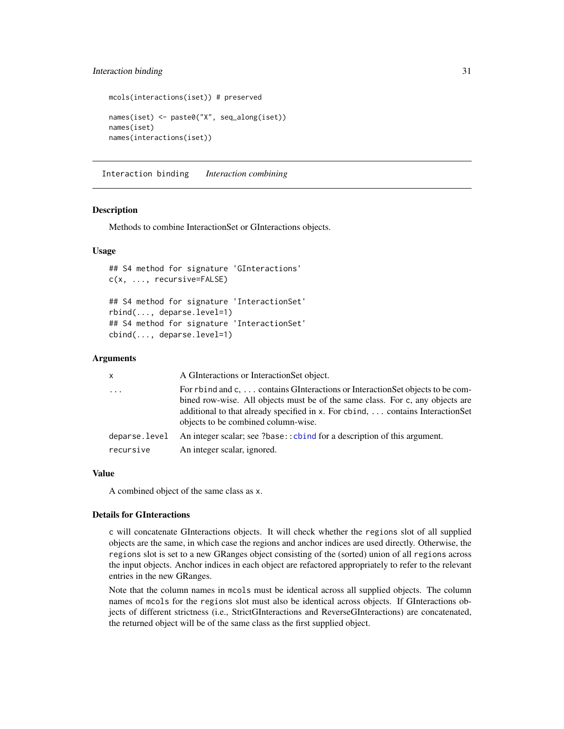## <span id="page-30-0"></span>Interaction binding 31

```
mcols(interactions(iset)) # preserved
names(iset) <- paste0("X", seq_along(iset))
names(iset)
names(interactions(iset))
```
Interaction binding *Interaction combining*

#### **Description**

Methods to combine InteractionSet or GInteractions objects.

#### Usage

```
## S4 method for signature 'GInteractions'
c(x, ..., recursive=FALSE)
## S4 method for signature 'InteractionSet'
rbind(..., deparse.level=1)
## S4 method for signature 'InteractionSet'
cbind(..., deparse.level=1)
```
#### **Arguments**

| x             | A GInteractions or Interaction Set object.                                                                                                                                                                                                                                               |
|---------------|------------------------------------------------------------------------------------------------------------------------------------------------------------------------------------------------------------------------------------------------------------------------------------------|
| $\cdots$      | For rbind and c,  contains GInteractions or Interaction Set objects to be com-<br>bined row-wise. All objects must be of the same class. For c, any objects are<br>additional to that already specified in x. For cbind,  contains InteractionSet<br>objects to be combined column-wise. |
| deparse.level | An integer scalar; see ?base:: cbind for a description of this argument.                                                                                                                                                                                                                 |
| recursive     | An integer scalar, ignored.                                                                                                                                                                                                                                                              |

#### Value

A combined object of the same class as x.

#### Details for GInteractions

c will concatenate GInteractions objects. It will check whether the regions slot of all supplied objects are the same, in which case the regions and anchor indices are used directly. Otherwise, the regions slot is set to a new GRanges object consisting of the (sorted) union of all regions across the input objects. Anchor indices in each object are refactored appropriately to refer to the relevant entries in the new GRanges.

Note that the column names in mcols must be identical across all supplied objects. The column names of mcols for the regions slot must also be identical across objects. If GInteractions objects of different strictness (i.e., StrictGInteractions and ReverseGInteractions) are concatenated, the returned object will be of the same class as the first supplied object.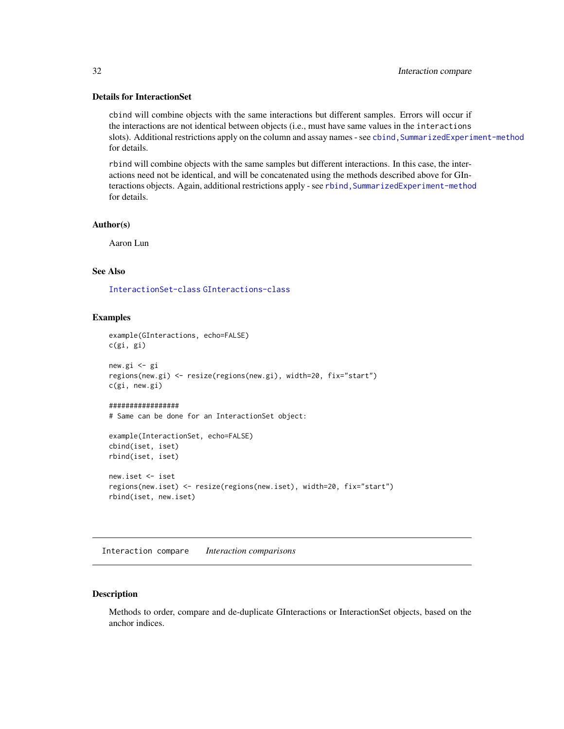#### <span id="page-31-0"></span>Details for InteractionSet

cbind will combine objects with the same interactions but different samples. Errors will occur if the interactions are not identical between objects (i.e., must have same values in the interactions slots). Additional restrictions apply on the column and assay names - see cbind, SummarizedExperiment-method for details.

rbind will combine objects with the same samples but different interactions. In this case, the interactions need not be identical, and will be concatenated using the methods described above for GInteractions objects. Again, additional restrictions apply - see rbind, SummarizedExperiment-method for details.

#### Author(s)

Aaron Lun

## See Also

[InteractionSet-class](#page-43-1) [GInteractions-class](#page-19-1)

#### Examples

```
example(GInteractions, echo=FALSE)
c(gi, gi)
new.gi <- gi
regions(new.gi) <- resize(regions(new.gi), width=20, fix="start")
c(gi, new.gi)
#################
# Same can be done for an InteractionSet object:
example(InteractionSet, echo=FALSE)
cbind(iset, iset)
rbind(iset, iset)
new.iset <- iset
regions(new.iset) <- resize(regions(new.iset), width=20, fix="start")
rbind(iset, new.iset)
```
Interaction compare *Interaction comparisons*

#### <span id="page-31-1"></span>Description

Methods to order, compare and de-duplicate GInteractions or InteractionSet objects, based on the anchor indices.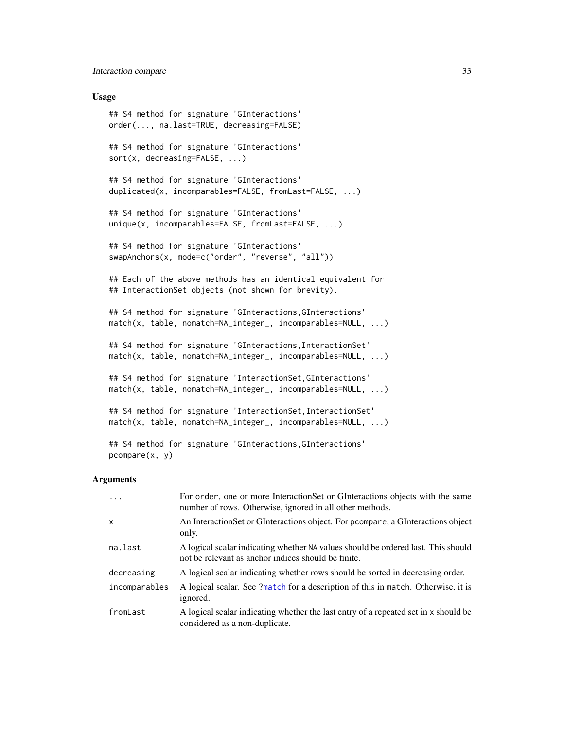#### <span id="page-32-0"></span>Interaction compare 33

#### Usage

```
## S4 method for signature 'GInteractions'
order(..., na.last=TRUE, decreasing=FALSE)
## S4 method for signature 'GInteractions'
sort(x, decreasing=FALSE, ...)
## S4 method for signature 'GInteractions'
duplicated(x, incomparables=FALSE, fromLast=FALSE, ...)
## S4 method for signature 'GInteractions'
unique(x, incomparables=FALSE, fromLast=FALSE, ...)
## S4 method for signature 'GInteractions'
swapAnchors(x, mode=c("order", "reverse", "all"))
## Each of the above methods has an identical equivalent for
## InteractionSet objects (not shown for brevity).
## S4 method for signature 'GInteractions, GInteractions'
match(x, table, nomatch=NA_integer_, incomparables=NULL, ...)
## S4 method for signature 'GInteractions, InteractionSet'
match(x, table, nomatch=NA_integer_, incomparables=NULL, ...)
## S4 method for signature 'InteractionSet,GInteractions'
match(x, table, nomatch=NA_integer_, incomparables=NULL, ...)
## S4 method for signature 'InteractionSet, InteractionSet'
match(x, table, nomatch=NA_integer_, incomparables=NULL, ...)
```

```
## S4 method for signature 'GInteractions,GInteractions'
pcompare(x, y)
```
## Arguments

| $\ddots$ .    | For order, one or more InteractionSet or GInteractions objects with the same<br>number of rows. Otherwise, ignored in all other methods. |
|---------------|------------------------------------------------------------------------------------------------------------------------------------------|
| X             | An Interaction Set or GInteractions object. For prompare, a GInteractions object<br>only.                                                |
| na.last       | A logical scalar indicating whether NA values should be ordered last. This should<br>not be relevant as anchor indices should be finite. |
| decreasing    | A logical scalar indicating whether rows should be sorted in decreasing order.                                                           |
| incomparables | A logical scalar. See ?match for a description of this in match. Otherwise, it is<br>ignored.                                            |
| fromLast      | A logical scalar indicating whether the last entry of a repeated set in x should be<br>considered as a non-duplicate.                    |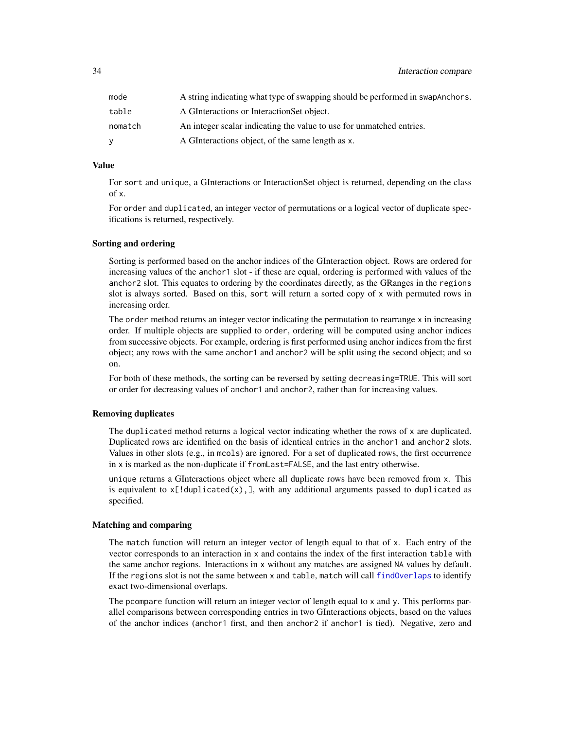<span id="page-33-0"></span>

| mode    | A string indicating what type of swapping should be performed in swapAnchors. |
|---------|-------------------------------------------------------------------------------|
| table   | A GInteractions or Interaction Set object.                                    |
| nomatch | An integer scalar indicating the value to use for unmatched entries.          |
| v       | A GInteractions object, of the same length as x.                              |

#### Value

For sort and unique, a GInteractions or InteractionSet object is returned, depending on the class of x.

For order and duplicated, an integer vector of permutations or a logical vector of duplicate specifications is returned, respectively.

#### Sorting and ordering

Sorting is performed based on the anchor indices of the GInteraction object. Rows are ordered for increasing values of the anchor1 slot - if these are equal, ordering is performed with values of the anchor2 slot. This equates to ordering by the coordinates directly, as the GRanges in the regions slot is always sorted. Based on this, sort will return a sorted copy of x with permuted rows in increasing order.

The order method returns an integer vector indicating the permutation to rearrange  $x$  in increasing order. If multiple objects are supplied to order, ordering will be computed using anchor indices from successive objects. For example, ordering is first performed using anchor indices from the first object; any rows with the same anchor1 and anchor2 will be split using the second object; and so on.

For both of these methods, the sorting can be reversed by setting decreasing=TRUE. This will sort or order for decreasing values of anchor1 and anchor2, rather than for increasing values.

#### Removing duplicates

The duplicated method returns a logical vector indicating whether the rows of x are duplicated. Duplicated rows are identified on the basis of identical entries in the anchor1 and anchor2 slots. Values in other slots (e.g., in mcols) are ignored. For a set of duplicated rows, the first occurrence in x is marked as the non-duplicate if fromLast=FALSE, and the last entry otherwise.

unique returns a GInteractions object where all duplicate rows have been removed from x. This is equivalent to  $x$ [!duplicated(x), ], with any additional arguments passed to duplicated as specified.

#### Matching and comparing

The match function will return an integer vector of length equal to that of x. Each entry of the vector corresponds to an interaction in x and contains the index of the first interaction table with the same anchor regions. Interactions in x without any matches are assigned NA values by default. If the regions slot is not the same between x and table, match will call [findOverlaps](#page-37-1) to identify exact two-dimensional overlaps.

The pcompare function will return an integer vector of length equal to x and y. This performs parallel comparisons between corresponding entries in two GInteractions objects, based on the values of the anchor indices (anchor1 first, and then anchor2 if anchor1 is tied). Negative, zero and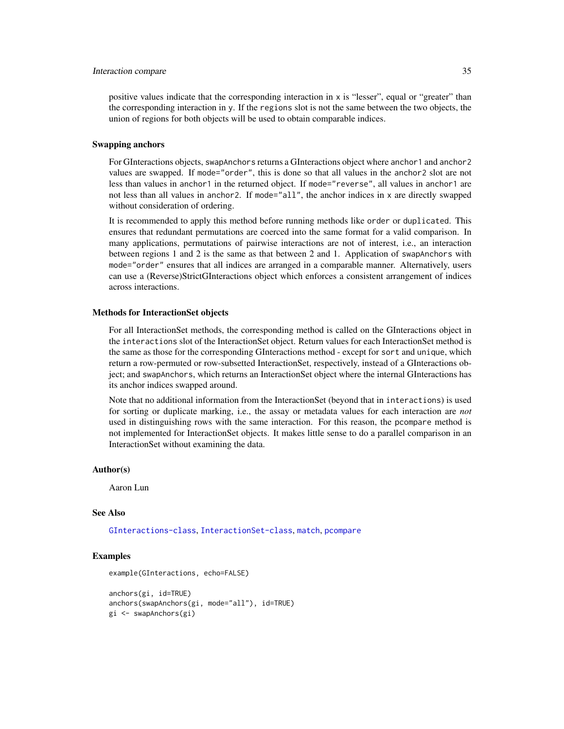#### <span id="page-34-0"></span>Interaction compare 35

positive values indicate that the corresponding interaction in x is "lesser", equal or "greater" than the corresponding interaction in y. If the regions slot is not the same between the two objects, the union of regions for both objects will be used to obtain comparable indices.

#### Swapping anchors

For GInteractions objects, swapAnchors returns a GInteractions object where anchor1 and anchor2 values are swapped. If mode="order", this is done so that all values in the anchor2 slot are not less than values in anchor1 in the returned object. If mode="reverse", all values in anchor1 are not less than all values in anchor2. If mode="all", the anchor indices in x are directly swapped without consideration of ordering.

It is recommended to apply this method before running methods like order or duplicated. This ensures that redundant permutations are coerced into the same format for a valid comparison. In many applications, permutations of pairwise interactions are not of interest, i.e., an interaction between regions 1 and 2 is the same as that between 2 and 1. Application of swapAnchors with mode="order" ensures that all indices are arranged in a comparable manner. Alternatively, users can use a (Reverse)StrictGInteractions object which enforces a consistent arrangement of indices across interactions.

#### Methods for InteractionSet objects

For all InteractionSet methods, the corresponding method is called on the GInteractions object in the interactions slot of the InteractionSet object. Return values for each InteractionSet method is the same as those for the corresponding GInteractions method - except for sort and unique, which return a row-permuted or row-subsetted InteractionSet, respectively, instead of a GInteractions object; and swapAnchors, which returns an InteractionSet object where the internal GInteractions has its anchor indices swapped around.

Note that no additional information from the InteractionSet (beyond that in interactions) is used for sorting or duplicate marking, i.e., the assay or metadata values for each interaction are *not* used in distinguishing rows with the same interaction. For this reason, the pcompare method is not implemented for InteractionSet objects. It makes little sense to do a parallel comparison in an InteractionSet without examining the data.

## Author(s)

Aaron Lun

#### See Also

[GInteractions-class](#page-19-1), [InteractionSet-class](#page-43-1), [match](#page-0-0), [pcompare](#page-0-0)

#### Examples

```
example(GInteractions, echo=FALSE)
```

```
anchors(gi, id=TRUE)
anchors(swapAnchors(gi, mode="all"), id=TRUE)
gi <- swapAnchors(gi)
```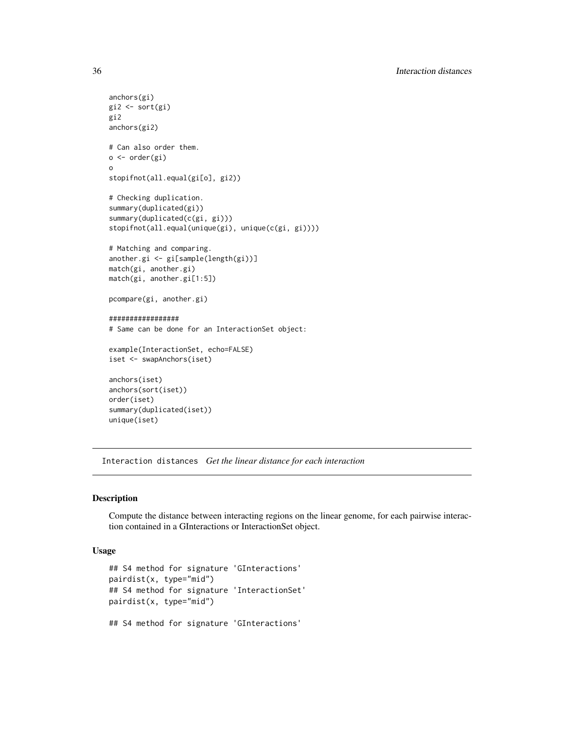```
anchors(gi)
gi2 <- sort(gi)
gi2
anchors(gi2)
# Can also order them.
o <- order(gi)
o
stopifnot(all.equal(gi[o], gi2))
# Checking duplication.
summary(duplicated(gi))
summary(duplicated(c(gi, gi)))
stopifnot(all.equal(unique(gi), unique(c(gi, gi))))
# Matching and comparing.
another.gi <- gi[sample(length(gi))]
match(gi, another.gi)
match(gi, another.gi[1:5])
pcompare(gi, another.gi)
#################
# Same can be done for an InteractionSet object:
example(InteractionSet, echo=FALSE)
iset <- swapAnchors(iset)
anchors(iset)
anchors(sort(iset))
order(iset)
summary(duplicated(iset))
unique(iset)
```
Interaction distances *Get the linear distance for each interaction*

#### Description

Compute the distance between interacting regions on the linear genome, for each pairwise interaction contained in a GInteractions or InteractionSet object.

#### Usage

```
## S4 method for signature 'GInteractions'
pairdist(x, type="mid")
## S4 method for signature 'InteractionSet'
pairdist(x, type="mid")
## S4 method for signature 'GInteractions'
```
<span id="page-35-0"></span>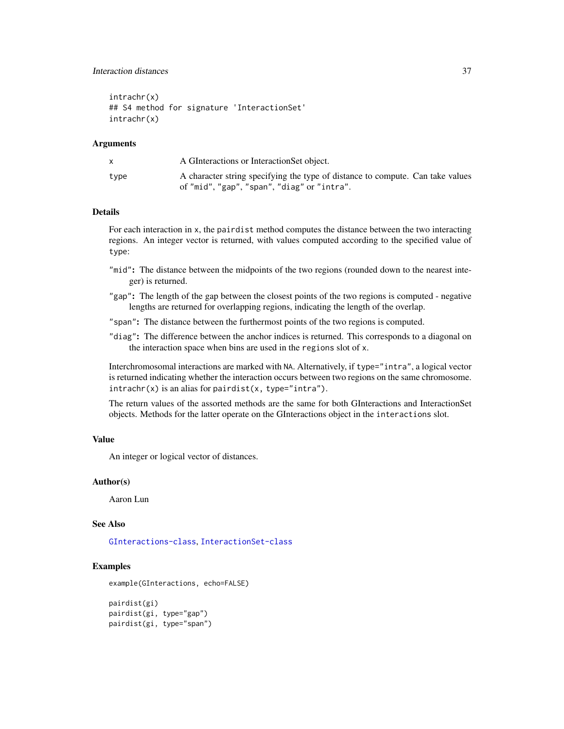## Interaction distances 37

intrachr(x) ## S4 method for signature 'InteractionSet' intrachr(x)

#### Arguments

| A GInteractions or InteractionSet object.                                                                                     |
|-------------------------------------------------------------------------------------------------------------------------------|
| A character string specifying the type of distance to compute. Can take values<br>of "mid", "gap", "span", "diag" or "intra". |
|                                                                                                                               |

## Details

For each interaction in x, the pairdist method computes the distance between the two interacting regions. An integer vector is returned, with values computed according to the specified value of type:

- "mid": The distance between the midpoints of the two regions (rounded down to the nearest integer) is returned.
- "gap": The length of the gap between the closest points of the two regions is computed negative lengths are returned for overlapping regions, indicating the length of the overlap.
- "span": The distance between the furthermost points of the two regions is computed.
- "diag": The difference between the anchor indices is returned. This corresponds to a diagonal on the interaction space when bins are used in the regions slot of x.

Interchromosomal interactions are marked with NA. Alternatively, if type="intra", a logical vector is returned indicating whether the interaction occurs between two regions on the same chromosome.  $intract(x)$  is an alias for pairdist(x, type="intra").

The return values of the assorted methods are the same for both GInteractions and InteractionSet objects. Methods for the latter operate on the GInteractions object in the interactions slot.

#### Value

An integer or logical vector of distances.

#### Author(s)

Aaron Lun

## See Also

[GInteractions-class](#page-19-1), [InteractionSet-class](#page-43-1)

## Examples

example(GInteractions, echo=FALSE)

```
pairdist(gi)
pairdist(gi, type="gap")
pairdist(gi, type="span")
```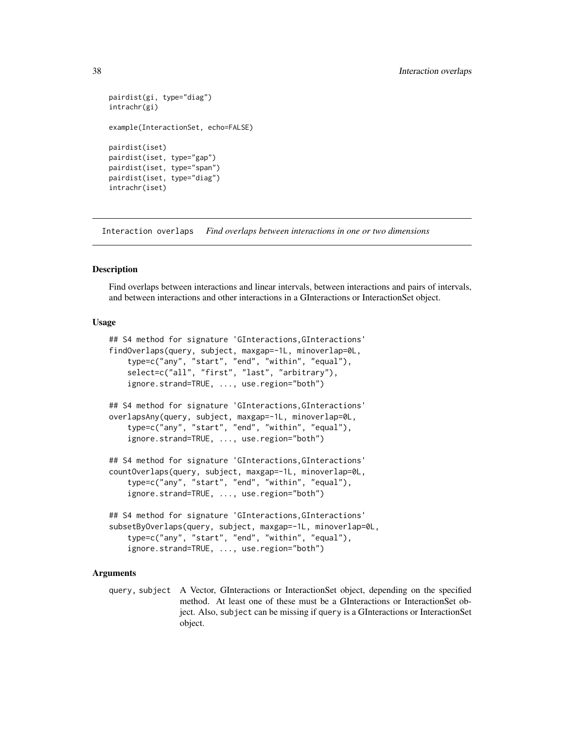```
pairdist(gi, type="diag")
intrachr(gi)
example(InteractionSet, echo=FALSE)
pairdist(iset)
pairdist(iset, type="gap")
pairdist(iset, type="span")
pairdist(iset, type="diag")
intrachr(iset)
```
Interaction overlaps *Find overlaps between interactions in one or two dimensions*

#### <span id="page-37-1"></span>**Description**

Find overlaps between interactions and linear intervals, between interactions and pairs of intervals, and between interactions and other interactions in a GInteractions or InteractionSet object.

#### Usage

```
## S4 method for signature 'GInteractions,GInteractions'
findOverlaps(query, subject, maxgap=-1L, minoverlap=0L,
   type=c("any", "start", "end", "within", "equal"),
   select=c("all", "first", "last", "arbitrary"),
   ignore.strand=TRUE, ..., use.region="both")
## S4 method for signature 'GInteractions,GInteractions'
overlapsAny(query, subject, maxgap=-1L, minoverlap=0L,
    type=c("any", "start", "end", "within", "equal"),
    ignore.strand=TRUE, ..., use.region="both")
## S4 method for signature 'GInteractions,GInteractions'
countOverlaps(query, subject, maxgap=-1L, minoverlap=0L,
   type=c("any", "start", "end", "within", "equal"),
    ignore.strand=TRUE, ..., use.region="both")
## S4 method for signature 'GInteractions,GInteractions'
subsetByOverlaps(query, subject, maxgap=-1L, minoverlap=0L,
   type=c("any", "start", "end", "within", "equal"),
   ignore.strand=TRUE, ..., use.region="both")
```
#### Arguments

query, subject A Vector, GInteractions or InteractionSet object, depending on the specified method. At least one of these must be a GInteractions or InteractionSet object. Also, subject can be missing if query is a GInteractions or InteractionSet object.

<span id="page-37-0"></span>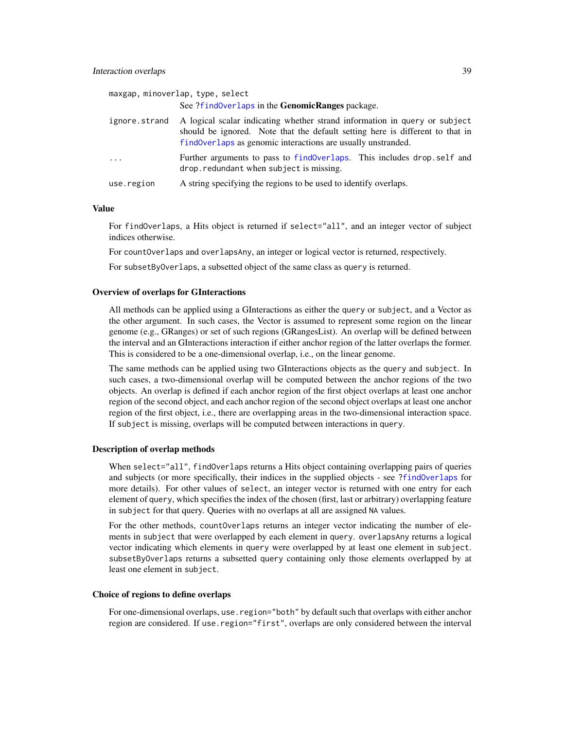<span id="page-38-0"></span>

|               | maxgap, minoverlap, type, select<br>See ?find0verlaps in the GenomicRanges package.                                                                                                                                         |
|---------------|-----------------------------------------------------------------------------------------------------------------------------------------------------------------------------------------------------------------------------|
| ignore.strand | A logical scalar indicating whether strand information in query or subject<br>should be ignored. Note that the default setting here is different to that in<br>findOverlaps as genomic interactions are usually unstranded. |
| $\ddots$ .    | Further arguments to pass to find Overlaps. This includes drop self and<br>drop. redundant when subject is missing.                                                                                                         |
| use.region    | A string specifying the regions to be used to identify overlaps.                                                                                                                                                            |

#### Value

For findOverlaps, a Hits object is returned if select="all", and an integer vector of subject indices otherwise.

For countOverlaps and overlapsAny, an integer or logical vector is returned, respectively.

For subsetByOverlaps, a subsetted object of the same class as query is returned.

#### Overview of overlaps for GInteractions

All methods can be applied using a GInteractions as either the query or subject, and a Vector as the other argument. In such cases, the Vector is assumed to represent some region on the linear genome (e.g., GRanges) or set of such regions (GRangesList). An overlap will be defined between the interval and an GInteractions interaction if either anchor region of the latter overlaps the former. This is considered to be a one-dimensional overlap, i.e., on the linear genome.

The same methods can be applied using two GInteractions objects as the query and subject. In such cases, a two-dimensional overlap will be computed between the anchor regions of the two objects. An overlap is defined if each anchor region of the first object overlaps at least one anchor region of the second object, and each anchor region of the second object overlaps at least one anchor region of the first object, i.e., there are overlapping areas in the two-dimensional interaction space. If subject is missing, overlaps will be computed between interactions in query.

#### Description of overlap methods

When select="all", findOverlaps returns a Hits object containing overlapping pairs of queries and subjects (or more specifically, their indices in the supplied objects - see [?findOverlaps](#page-37-1) for more details). For other values of select, an integer vector is returned with one entry for each element of query, which specifies the index of the chosen (first, last or arbitrary) overlapping feature in subject for that query. Queries with no overlaps at all are assigned NA values.

For the other methods, countOverlaps returns an integer vector indicating the number of elements in subject that were overlapped by each element in query. overlapsAny returns a logical vector indicating which elements in query were overlapped by at least one element in subject. subsetByOverlaps returns a subsetted query containing only those elements overlapped by at least one element in subject.

#### Choice of regions to define overlaps

For one-dimensional overlaps, use.region="both" by default such that overlaps with either anchor region are considered. If use.region="first", overlaps are only considered between the interval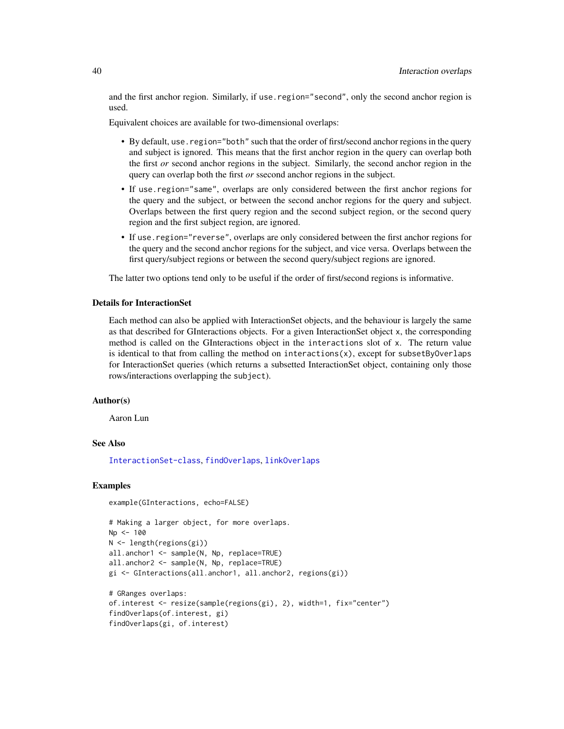<span id="page-39-0"></span>and the first anchor region. Similarly, if use.region="second", only the second anchor region is used.

Equivalent choices are available for two-dimensional overlaps:

- By default, use.region="both" such that the order of first/second anchor regions in the query and subject is ignored. This means that the first anchor region in the query can overlap both the first *or* second anchor regions in the subject. Similarly, the second anchor region in the query can overlap both the first *or* ssecond anchor regions in the subject.
- If use.region="same", overlaps are only considered between the first anchor regions for the query and the subject, or between the second anchor regions for the query and subject. Overlaps between the first query region and the second subject region, or the second query region and the first subject region, are ignored.
- If use.region="reverse", overlaps are only considered between the first anchor regions for the query and the second anchor regions for the subject, and vice versa. Overlaps between the first query/subject regions or between the second query/subject regions are ignored.

The latter two options tend only to be useful if the order of first/second regions is informative.

#### Details for InteractionSet

Each method can also be applied with InteractionSet objects, and the behaviour is largely the same as that described for GInteractions objects. For a given InteractionSet object x, the corresponding method is called on the GInteractions object in the interactions slot of x. The return value is identical to that from calling the method on interactions(x), except for subsetByOverlaps for InteractionSet queries (which returns a subsetted InteractionSet object, containing only those rows/interactions overlapping the subject).

#### Author(s)

Aaron Lun

### See Also

[InteractionSet-class](#page-43-1), [findOverlaps](#page-37-1), [linkOverlaps](#page-46-1)

#### Examples

```
example(GInteractions, echo=FALSE)
```

```
# Making a larger object, for more overlaps.
Np <- 100
N <- length(regions(gi))
all.anchor1 <- sample(N, Np, replace=TRUE)
all.anchor2 <- sample(N, Np, replace=TRUE)
gi <- GInteractions(all.anchor1, all.anchor2, regions(gi))
# GRanges overlaps:
of.interest <- resize(sample(regions(gi), 2), width=1, fix="center")
findOverlaps(of.interest, gi)
findOverlaps(gi, of.interest)
```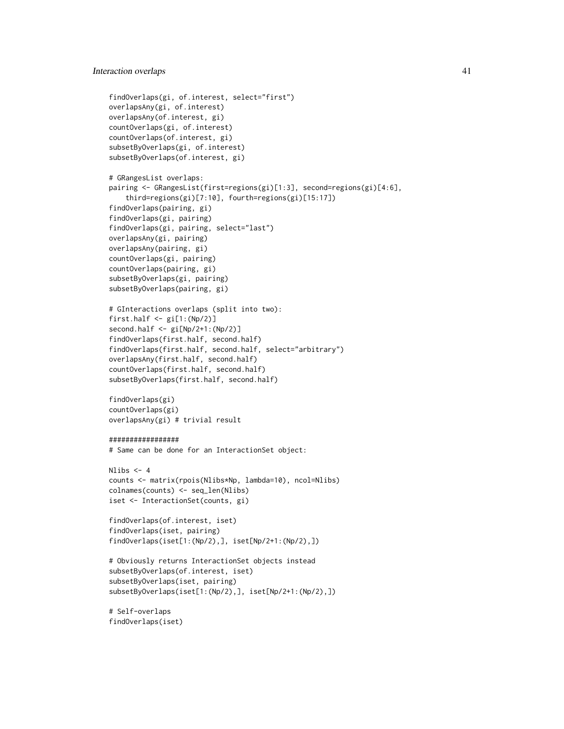```
findOverlaps(gi, of.interest, select="first")
overlapsAny(gi, of.interest)
overlapsAny(of.interest, gi)
countOverlaps(gi, of.interest)
countOverlaps(of.interest, gi)
subsetByOverlaps(gi, of.interest)
subsetByOverlaps(of.interest, gi)
# GRangesList overlaps:
pairing <- GRangesList(first=regions(gi)[1:3], second=regions(gi)[4:6],
    third=regions(gi)[7:10], fourth=regions(gi)[15:17])
findOverlaps(pairing, gi)
findOverlaps(gi, pairing)
findOverlaps(gi, pairing, select="last")
overlapsAny(gi, pairing)
overlapsAny(pairing, gi)
countOverlaps(gi, pairing)
countOverlaps(pairing, gi)
subsetByOverlaps(gi, pairing)
subsetByOverlaps(pairing, gi)
# GInteractions overlaps (split into two):
first.half \leq gi[1:(Np/2)]
second.half <- gi[Np/2+1:(Np/2)]
findOverlaps(first.half, second.half)
findOverlaps(first.half, second.half, select="arbitrary")
overlapsAny(first.half, second.half)
countOverlaps(first.half, second.half)
subsetByOverlaps(first.half, second.half)
findOverlaps(gi)
countOverlaps(gi)
overlapsAny(gi) # trivial result
#################
# Same can be done for an InteractionSet object:
Nlibs < -4counts <- matrix(rpois(Nlibs*Np, lambda=10), ncol=Nlibs)
colnames(counts) <- seq_len(Nlibs)
iset <- InteractionSet(counts, gi)
findOverlaps(of.interest, iset)
findOverlaps(iset, pairing)
findOverlaps(iset[1:(Np/2),], iset[Np/2+1:(Np/2),])
# Obviously returns InteractionSet objects instead
subsetByOverlaps(of.interest, iset)
subsetByOverlaps(iset, pairing)
subsetByOverlaps(iset[1:(Np/2),], iset[Np/2+1:(Np/2),])
# Self-overlaps
findOverlaps(iset)
```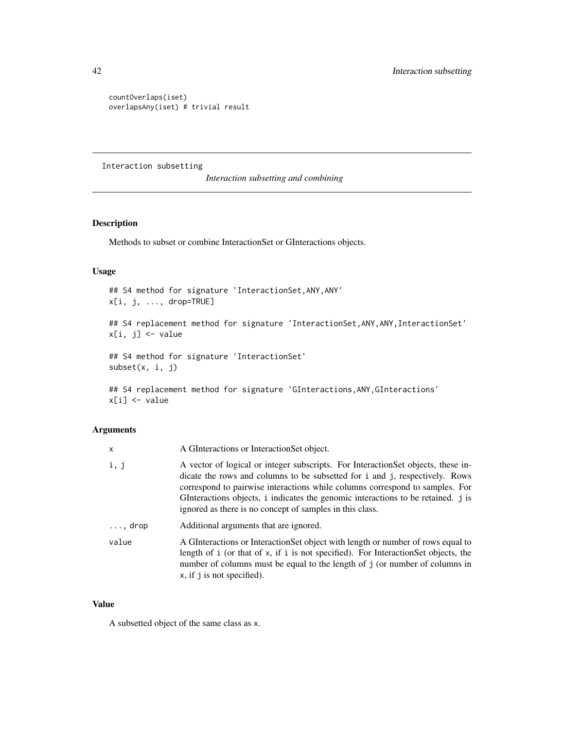```
countOverlaps(iset)
overlapsAny(iset) # trivial result
```
Interaction subsetting

*Interaction subsetting and combining*

## <span id="page-41-1"></span>Description

Methods to subset or combine InteractionSet or GInteractions objects.

## Usage

## S4 method for signature 'InteractionSet,ANY,ANY' x[i, j, ..., drop=TRUE]

## S4 replacement method for signature 'InteractionSet, ANY, ANY, InteractionSet' x[i, j] <- value

## S4 method for signature 'InteractionSet' subset(x, i, j)

## S4 replacement method for signature 'GInteractions, ANY, GInteractions' x[i] <- value

## Arguments

| x               | A GInteractions or InteractionSet object.                                                                                                                                                                                                                                                                                                                                                       |
|-----------------|-------------------------------------------------------------------------------------------------------------------------------------------------------------------------------------------------------------------------------------------------------------------------------------------------------------------------------------------------------------------------------------------------|
| i, j            | A vector of logical or integer subscripts. For InteractionSet objects, these in-<br>dicate the rows and columns to be subsetted for i and j, respectively. Rows<br>correspond to pairwise interactions while columns correspond to samples. For<br>GInteractions objects, i indicates the genomic interactions to be retained. j is<br>ignored as there is no concept of samples in this class. |
| $\ldots$ , drop | Additional arguments that are ignored.                                                                                                                                                                                                                                                                                                                                                          |
| value           | A GInteractions or Interaction Set object with length or number of rows equal to<br>length of i (or that of x, if i is not specified). For InteractionSet objects, the<br>number of columns must be equal to the length of j (or number of columns in<br>$x$ , if j is not specified).                                                                                                          |

#### Value

A subsetted object of the same class as x.

<span id="page-41-0"></span>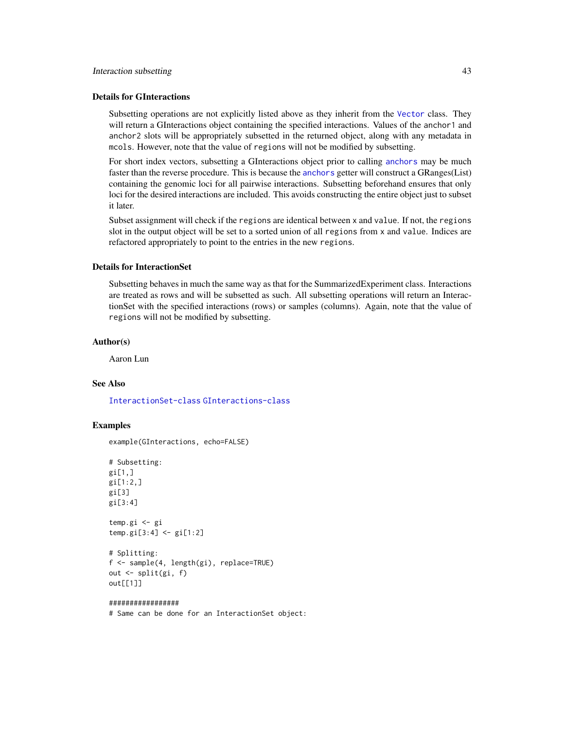#### <span id="page-42-0"></span>Details for GInteractions

Subsetting operations are not explicitly listed above as they inherit from the [Vector](#page-0-0) class. They will return a GInteractions object containing the specified interactions. Values of the anchor1 and anchor2 slots will be appropriately subsetted in the returned object, along with any metadata in mcols. However, note that the value of regions will not be modified by subsetting.

For short index vectors, subsetting a GInteractions object prior to calling [anchors](#page-23-1) may be much faster than the reverse procedure. This is because the [anchors](#page-23-1) getter will construct a GRanges(List) containing the genomic loci for all pairwise interactions. Subsetting beforehand ensures that only loci for the desired interactions are included. This avoids constructing the entire object just to subset it later.

Subset assignment will check if the regions are identical between x and value. If not, the regions slot in the output object will be set to a sorted union of all regions from x and value. Indices are refactored appropriately to point to the entries in the new regions.

#### Details for InteractionSet

Subsetting behaves in much the same way as that for the SummarizedExperiment class. Interactions are treated as rows and will be subsetted as such. All subsetting operations will return an InteractionSet with the specified interactions (rows) or samples (columns). Again, note that the value of regions will not be modified by subsetting.

#### Author(s)

Aaron Lun

#### See Also

[InteractionSet-class](#page-43-1) [GInteractions-class](#page-19-1)

#### Examples

example(GInteractions, echo=FALSE)

```
# Subsetting:
gi[1,]g1[1:2,]gi[3]
gi[3:4]
```
temp.gi <- gi temp.gi[3:4] <- gi[1:2]

```
# Splitting:
f <- sample(4, length(gi), replace=TRUE)
out <- split(gi, f)
out[[1]]
```
#### #################

# Same can be done for an InteractionSet object: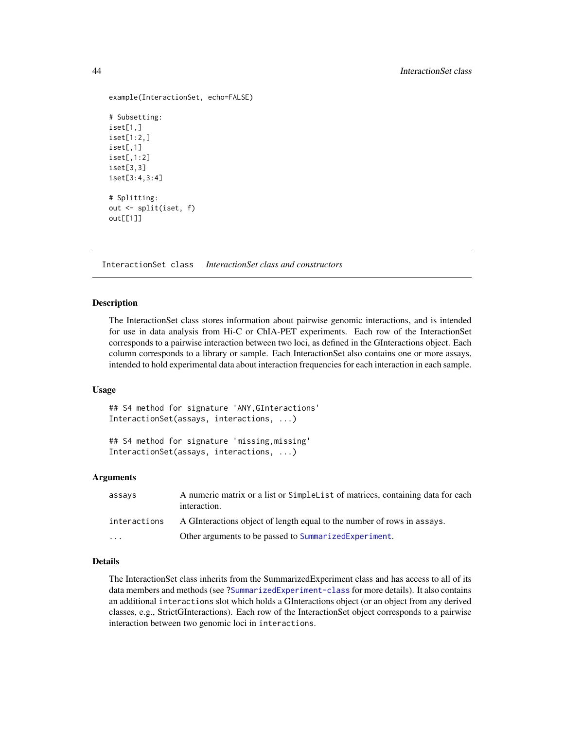```
example(InteractionSet, echo=FALSE)
# Subsetting:
iset[1,]
iset[1:2,]
iset[,1]
iset[,1:2]
iset[3,3]
iset[3:4,3:4]
# Splitting:
out <- split(iset, f)
out[[1]]
```
InteractionSet class *InteractionSet class and constructors*

#### <span id="page-43-1"></span>Description

The InteractionSet class stores information about pairwise genomic interactions, and is intended for use in data analysis from Hi-C or ChIA-PET experiments. Each row of the InteractionSet corresponds to a pairwise interaction between two loci, as defined in the GInteractions object. Each column corresponds to a library or sample. Each InteractionSet also contains one or more assays, intended to hold experimental data about interaction frequencies for each interaction in each sample.

#### Usage

## S4 method for signature 'ANY,GInteractions' InteractionSet(assays, interactions, ...)

## S4 method for signature 'missing,missing' InteractionSet(assays, interactions, ...)

#### Arguments

| assays       | A numeric matrix or a list or Simple List of matrices, containing data for each<br>interaction. |
|--------------|-------------------------------------------------------------------------------------------------|
| interactions | A GInteractions object of length equal to the number of rows in assays.                         |
| .            | Other arguments to be passed to Summarized Experiment.                                          |

## Details

The InteractionSet class inherits from the SummarizedExperiment class and has access to all of its data members and methods (see [?SummarizedExperiment-class](#page-0-0) for more details). It also contains an additional interactions slot which holds a GInteractions object (or an object from any derived classes, e.g., StrictGInteractions). Each row of the InteractionSet object corresponds to a pairwise interaction between two genomic loci in interactions.

<span id="page-43-0"></span>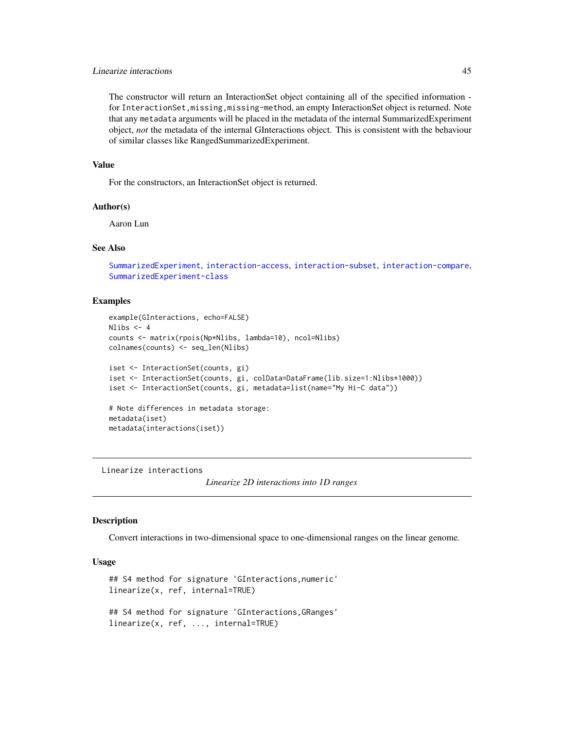## <span id="page-44-0"></span>Linearize interactions 45

The constructor will return an InteractionSet object containing all of the specified information for InteractionSet,missing,missing-method, an empty InteractionSet object is returned. Note that any metadata arguments will be placed in the metadata of the internal SummarizedExperiment object, *not* the metadata of the internal GInteractions object. This is consistent with the behaviour of similar classes like RangedSummarizedExperiment.

#### Value

For the constructors, an InteractionSet object is returned.

## Author(s)

Aaron Lun

## See Also

[SummarizedExperiment](#page-0-0), [interaction-access](#page-23-1), [interaction-subset](#page-41-1), [interaction-compare](#page-31-1), [SummarizedExperiment-class](#page-0-0)

#### Examples

```
example(GInteractions, echo=FALSE)
Nlibs <-4counts <- matrix(rpois(Np*Nlibs, lambda=10), ncol=Nlibs)
colnames(counts) <- seq_len(Nlibs)
iset <- InteractionSet(counts, gi)
iset <- InteractionSet(counts, gi, colData=DataFrame(lib.size=1:Nlibs*1000))
iset <- InteractionSet(counts, gi, metadata=list(name="My Hi-C data"))
# Note differences in metadata storage:
metadata(iset)
metadata(interactions(iset))
```
Linearize interactions

*Linearize 2D interactions into 1D ranges*

#### **Description**

Convert interactions in two-dimensional space to one-dimensional ranges on the linear genome.

#### Usage

```
## S4 method for signature 'GInteractions,numeric'
linearize(x, ref, internal=TRUE)
## S4 method for signature 'GInteractions,GRanges'
linearize(x, ref, ..., internal=TRUE)
```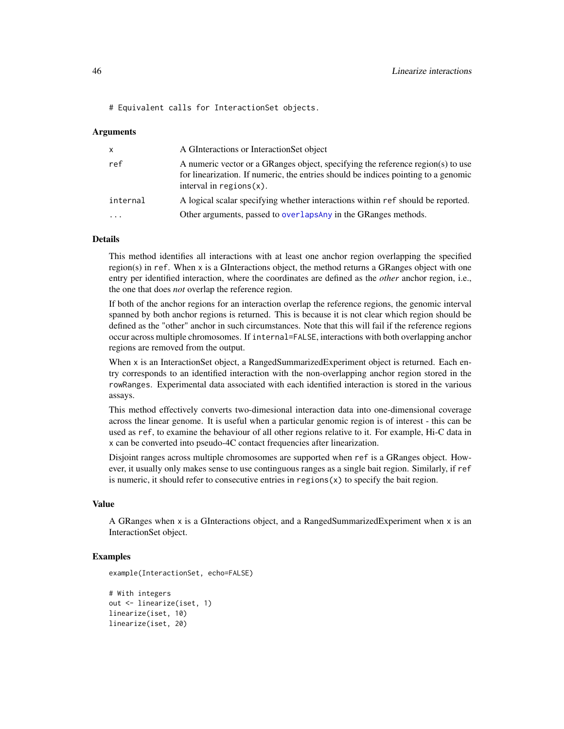<span id="page-45-0"></span># Equivalent calls for InteractionSet objects.

#### Arguments

| $\mathsf{x}$            | A GInteractions or InteractionSet object                                                                                                                                                             |
|-------------------------|------------------------------------------------------------------------------------------------------------------------------------------------------------------------------------------------------|
| ref                     | A numeric vector or a GRanges object, specifying the reference region(s) to use<br>for linearization. If numeric, the entries should be indices pointing to a genomic<br>interval in regions $(x)$ . |
| internal                | A logical scalar specifying whether interactions within ref should be reported.                                                                                                                      |
| $\cdot$ $\cdot$ $\cdot$ | Other arguments, passed to overlaps Any in the GRanges methods.                                                                                                                                      |

## Details

This method identifies all interactions with at least one anchor region overlapping the specified region(s) in ref. When x is a GInteractions object, the method returns a GRanges object with one entry per identified interaction, where the coordinates are defined as the *other* anchor region, i.e., the one that does *not* overlap the reference region.

If both of the anchor regions for an interaction overlap the reference regions, the genomic interval spanned by both anchor regions is returned. This is because it is not clear which region should be defined as the "other" anchor in such circumstances. Note that this will fail if the reference regions occur across multiple chromosomes. If internal=FALSE, interactions with both overlapping anchor regions are removed from the output.

When x is an InteractionSet object, a RangedSummarizedExperiment object is returned. Each entry corresponds to an identified interaction with the non-overlapping anchor region stored in the rowRanges. Experimental data associated with each identified interaction is stored in the various assays.

This method effectively converts two-dimesional interaction data into one-dimensional coverage across the linear genome. It is useful when a particular genomic region is of interest - this can be used as ref, to examine the behaviour of all other regions relative to it. For example, Hi-C data in x can be converted into pseudo-4C contact frequencies after linearization.

Disjoint ranges across multiple chromosomes are supported when ref is a GRanges object. However, it usually only makes sense to use continguous ranges as a single bait region. Similarly, if ref is numeric, it should refer to consecutive entries in regions(x) to specify the bait region.

#### Value

A GRanges when x is a GInteractions object, and a RangedSummarizedExperiment when x is an InteractionSet object.

#### Examples

```
example(InteractionSet, echo=FALSE)
```

```
# With integers
out <- linearize(iset, 1)
linearize(iset, 10)
linearize(iset, 20)
```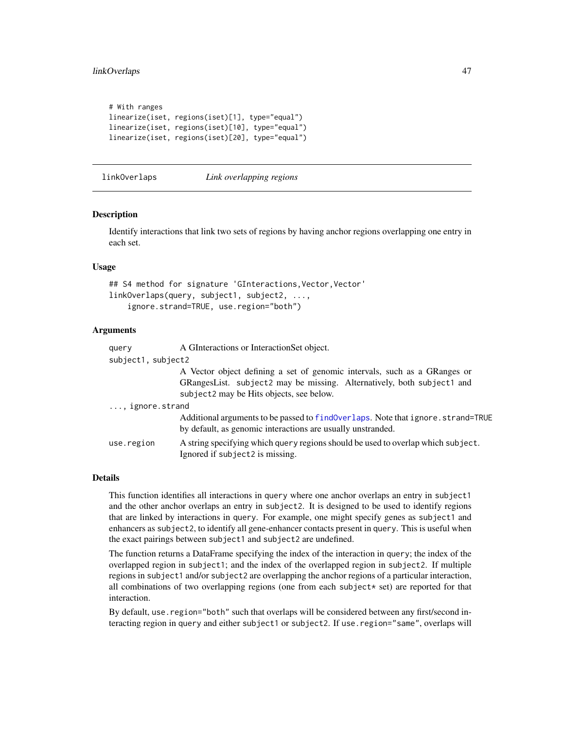## <span id="page-46-0"></span>linkOverlaps 47

```
# With ranges
linearize(iset, regions(iset)[1], type="equal")
linearize(iset, regions(iset)[10], type="equal")
linearize(iset, regions(iset)[20], type="equal")
```
#### <span id="page-46-1"></span>linkOverlaps *Link overlapping regions*

#### **Description**

Identify interactions that link two sets of regions by having anchor regions overlapping one entry in each set.

### Usage

```
## S4 method for signature 'GInteractions, Vector, Vector'
linkOverlaps(query, subject1, subject2, ...,
    ignore.strand=TRUE, use.region="both")
```
#### Arguments

| query                    | A GInteractions or InteractionSet object.                                                                                                                                                       |
|--------------------------|-------------------------------------------------------------------------------------------------------------------------------------------------------------------------------------------------|
| subject1, subject2       |                                                                                                                                                                                                 |
|                          | A Vector object defining a set of genomic intervals, such as a GRanges or<br>GRangesList. subject2 may be missing. Alternatively, both subject1 and<br>subject2 may be Hits objects, see below. |
| $\ldots$ , ignore.strand |                                                                                                                                                                                                 |
|                          | Additional arguments to be passed to find Overlaps. Note that ignore. strand=TRUE<br>by default, as genomic interactions are usually unstranded.                                                |
| use.region               | A string specifying which query regions should be used to overlap which subject.<br>Ignored if subject2 is missing.                                                                             |

#### Details

This function identifies all interactions in query where one anchor overlaps an entry in subject1 and the other anchor overlaps an entry in subject2. It is designed to be used to identify regions that are linked by interactions in query. For example, one might specify genes as subject1 and enhancers as subject2, to identify all gene-enhancer contacts present in query. This is useful when the exact pairings between subject1 and subject2 are undefined.

The function returns a DataFrame specifying the index of the interaction in query; the index of the overlapped region in subject1; and the index of the overlapped region in subject2. If multiple regions in subject1 and/or subject2 are overlapping the anchor regions of a particular interaction, all combinations of two overlapping regions (one from each subject\* set) are reported for that interaction.

By default, use. region="both" such that overlaps will be considered between any first/second interacting region in query and either subject1 or subject2. If use.region="same", overlaps will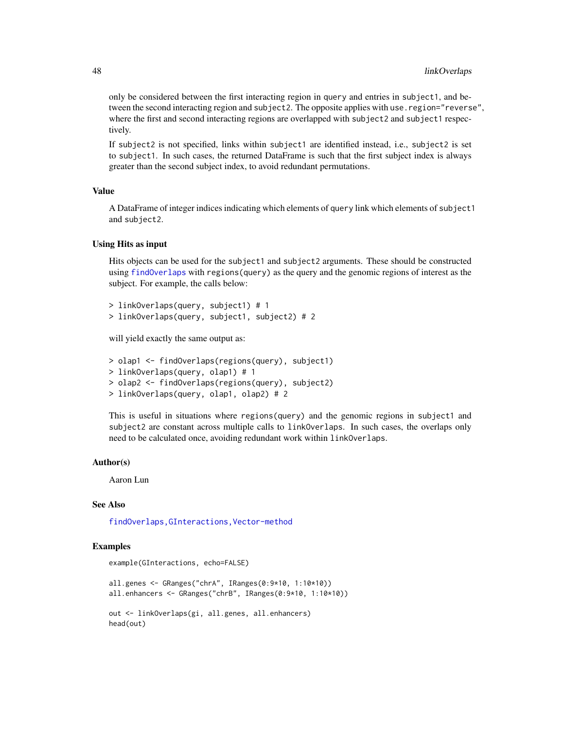only be considered between the first interacting region in query and entries in subject1, and between the second interacting region and subject 2. The opposite applies with use . region="reverse", where the first and second interacting regions are overlapped with subject2 and subject1 respectively.

If subject2 is not specified, links within subject1 are identified instead, i.e., subject2 is set to subject1. In such cases, the returned DataFrame is such that the first subject index is always greater than the second subject index, to avoid redundant permutations.

#### Value

A DataFrame of integer indices indicating which elements of query link which elements of subject1 and subject2.

### Using Hits as input

Hits objects can be used for the subject1 and subject2 arguments. These should be constructed using [findOverlaps](#page-37-1) with regions(query) as the query and the genomic regions of interest as the subject. For example, the calls below:

```
> linkOverlaps(query, subject1) # 1
> linkOverlaps(query, subject1, subject2) # 2
```
will yield exactly the same output as:

```
> olap1 <- findOverlaps(regions(query), subject1)
> linkOverlaps(query, olap1) # 1
> olap2 <- findOverlaps(regions(query), subject2)
> linkOverlaps(query, olap1, olap2) # 2
```
This is useful in situations where regions(query) and the genomic regions in subject1 and subject2 are constant across multiple calls to linkOverlaps. In such cases, the overlaps only need to be calculated once, avoiding redundant work within linkOverlaps.

#### Author(s)

Aaron Lun

#### See Also

[findOverlaps,GInteractions,Vector-method](#page-0-0)

## Examples

```
example(GInteractions, echo=FALSE)
```
all.genes <- GRanges("chrA", IRanges(0:9\*10, 1:10\*10)) all.enhancers <- GRanges("chrB", IRanges(0:9\*10, 1:10\*10)) out <- linkOverlaps(gi, all.genes, all.enhancers) head(out)

<span id="page-47-0"></span>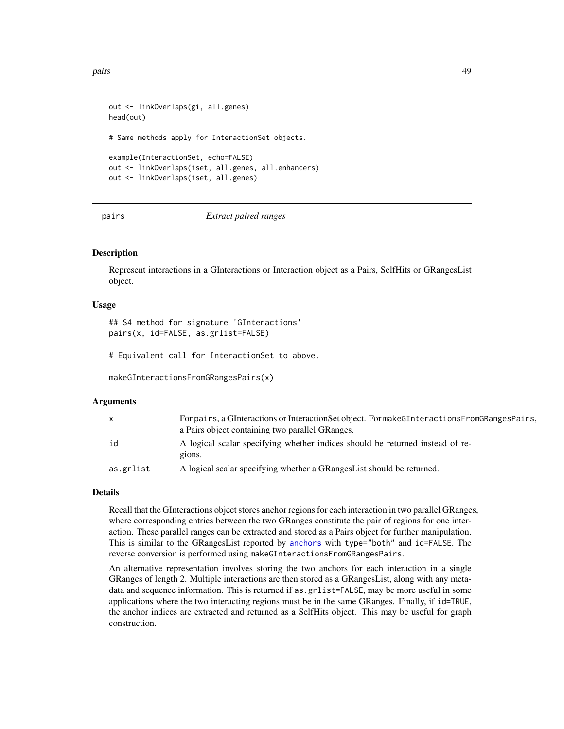<span id="page-48-0"></span>pairs and the contract of the contract of the contract of the contract of the contract of the contract of the contract of the contract of the contract of the contract of the contract of the contract of the contract of the

```
out <- linkOverlaps(gi, all.genes)
head(out)
# Same methods apply for InteractionSet objects.
example(InteractionSet, echo=FALSE)
out <- linkOverlaps(iset, all.genes, all.enhancers)
out <- linkOverlaps(iset, all.genes)
```
pairs *Extract paired ranges*

#### Description

Represent interactions in a GInteractions or Interaction object as a Pairs, SelfHits or GRangesList object.

#### Usage

## S4 method for signature 'GInteractions' pairs(x, id=FALSE, as.grlist=FALSE)

# Equivalent call for InteractionSet to above.

makeGInteractionsFromGRangesPairs(x)

#### Arguments

| $\mathsf{x}$ | For pairs, a GInteractions or Interaction Set object. For make GInteractions From GRanges Pairs.<br>a Pairs object containing two parallel GRanges. |
|--------------|-----------------------------------------------------------------------------------------------------------------------------------------------------|
| id           | A logical scalar specifying whether indices should be returned instead of re-<br>gions.                                                             |
| as.grlist    | A logical scalar specifying whether a GRangesList should be returned.                                                                               |

## Details

Recall that the GInteractions object stores anchor regions for each interaction in two parallel GRanges, where corresponding entries between the two GRanges constitute the pair of regions for one interaction. These parallel ranges can be extracted and stored as a Pairs object for further manipulation. This is similar to the GRangesList reported by [anchors](#page-23-1) with type="both" and id=FALSE. The reverse conversion is performed using makeGInteractionsFromGRangesPairs.

An alternative representation involves storing the two anchors for each interaction in a single GRanges of length 2. Multiple interactions are then stored as a GRangesList, along with any metadata and sequence information. This is returned if as, gr1 is t=FALSE, may be more useful in some applications where the two interacting regions must be in the same GRanges. Finally, if id=TRUE, the anchor indices are extracted and returned as a SelfHits object. This may be useful for graph construction.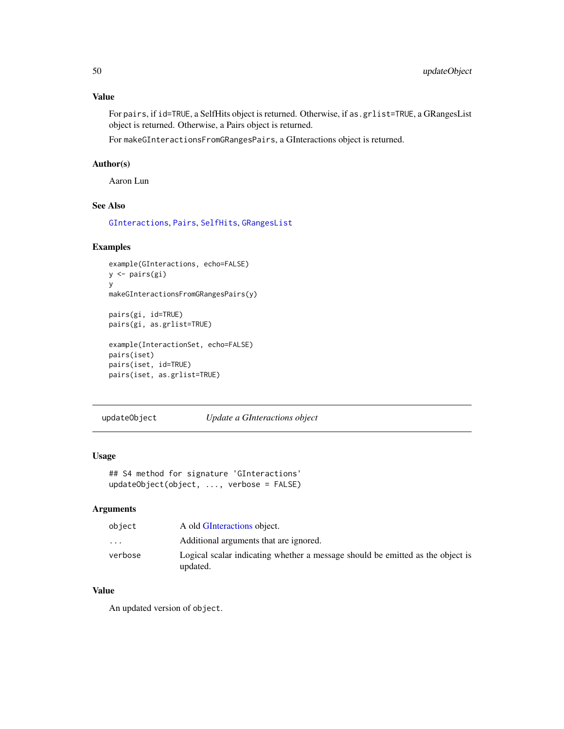## <span id="page-49-0"></span>Value

For pairs, if id=TRUE, a SelfHits object is returned. Otherwise, if as.grlist=TRUE, a GRangesList object is returned. Otherwise, a Pairs object is returned.

For makeGInteractionsFromGRangesPairs, a GInteractions object is returned.

## Author(s)

Aaron Lun

## See Also

[GInteractions](#page-19-1), [Pairs](#page-0-0), [SelfHits](#page-0-0), [GRangesList](#page-0-0)

#### Examples

```
example(GInteractions, echo=FALSE)
y <- pairs(gi)
y
makeGInteractionsFromGRangesPairs(y)
```

```
pairs(gi, id=TRUE)
pairs(gi, as.grlist=TRUE)
```

```
example(InteractionSet, echo=FALSE)
pairs(iset)
pairs(iset, id=TRUE)
pairs(iset, as.grlist=TRUE)
```
updateObject *Update a GInteractions object*

## Usage

```
## S4 method for signature 'GInteractions'
updateObject(object, ..., verbose = FALSE)
```
## Arguments

| object   | A old GInteractions object.                                                                |
|----------|--------------------------------------------------------------------------------------------|
| $\cdots$ | Additional arguments that are ignored.                                                     |
| verbose  | Logical scalar indicating whether a message should be emitted as the object is<br>updated. |

## Value

An updated version of object.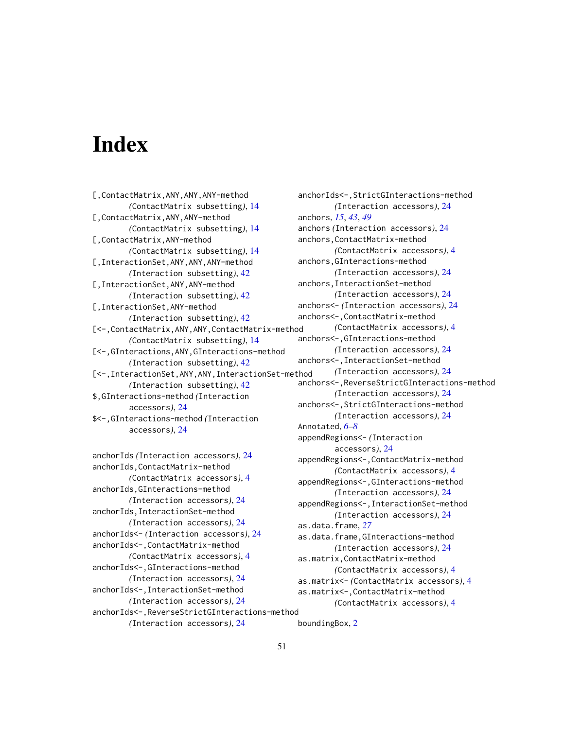# <span id="page-50-0"></span>**Index**

[,ContactMatrix,ANY,ANY,ANY-method *(*ContactMatrix subsetting*)*, [14](#page-13-0) [,ContactMatrix,ANY,ANY-method *(*ContactMatrix subsetting*)*, [14](#page-13-0) [,ContactMatrix,ANY-method *(*ContactMatrix subsetting*)*, [14](#page-13-0) [,InteractionSet,ANY,ANY,ANY-method *(*Interaction subsetting*)*, [42](#page-41-0) [,InteractionSet,ANY,ANY-method *(*Interaction subsetting*)*, [42](#page-41-0) [,InteractionSet,ANY-method *(*Interaction subsetting*)*, [42](#page-41-0) [<-,ContactMatrix,ANY,ANY,ContactMatrix-method *(*ContactMatrix subsetting*)*, [14](#page-13-0) [<-,GInteractions,ANY,GInteractions-method *(*Interaction subsetting*)*, [42](#page-41-0) [<-,InteractionSet,ANY,ANY,InteractionSet-method *(*Interaction subsetting*)*, [42](#page-41-0) \$,GInteractions-method *(*Interaction accessors*)*, [24](#page-23-0) \$<-,GInteractions-method *(*Interaction accessors*)*, [24](#page-23-0)

anchorIds *(*Interaction accessors*)*, [24](#page-23-0) anchorIds,ContactMatrix-method *(*ContactMatrix accessors*)*, [4](#page-3-0) anchorIds,GInteractions-method *(*Interaction accessors*)*, [24](#page-23-0) anchorIds,InteractionSet-method *(*Interaction accessors*)*, [24](#page-23-0) anchorIds<- *(*Interaction accessors*)*, [24](#page-23-0) anchorIds<-,ContactMatrix-method *(*ContactMatrix accessors*)*, [4](#page-3-0) anchorIds<-,GInteractions-method *(*Interaction accessors*)*, [24](#page-23-0) anchorIds<-,InteractionSet-method *(*Interaction accessors*)*, [24](#page-23-0) anchorIds<-,ReverseStrictGInteractions-method *(*Interaction accessors*)*, [24](#page-23-0)

anchorIds<-,StrictGInteractions-method *(*Interaction accessors*)*, [24](#page-23-0) anchors, *[15](#page-14-0)*, *[43](#page-42-0)*, *[49](#page-48-0)* anchors *(*Interaction accessors*)*, [24](#page-23-0) anchors,ContactMatrix-method *(*ContactMatrix accessors*)*, [4](#page-3-0) anchors,GInteractions-method *(*Interaction accessors*)*, [24](#page-23-0) anchors,InteractionSet-method *(*Interaction accessors*)*, [24](#page-23-0) anchors<- *(*Interaction accessors*)*, [24](#page-23-0) anchors<-,ContactMatrix-method *(*ContactMatrix accessors*)*, [4](#page-3-0) anchors<-,GInteractions-method *(*Interaction accessors*)*, [24](#page-23-0) anchors<-,InteractionSet-method *(*Interaction accessors*)*, [24](#page-23-0) anchors<-,ReverseStrictGInteractions-method *(*Interaction accessors*)*, [24](#page-23-0) anchors<-,StrictGInteractions-method *(*Interaction accessors*)*, [24](#page-23-0) Annotated, *[6](#page-5-0)[–8](#page-7-0)* appendRegions<- *(*Interaction accessors*)*, [24](#page-23-0) appendRegions<-,ContactMatrix-method *(*ContactMatrix accessors*)*, [4](#page-3-0) appendRegions<-,GInteractions-method *(*Interaction accessors*)*, [24](#page-23-0) appendRegions<-,InteractionSet-method *(*Interaction accessors*)*, [24](#page-23-0) as.data.frame, *[27](#page-26-0)* as.data.frame,GInteractions-method *(*Interaction accessors*)*, [24](#page-23-0) as.matrix,ContactMatrix-method *(*ContactMatrix accessors*)*, [4](#page-3-0) as.matrix<- *(*ContactMatrix accessors*)*, [4](#page-3-0) as.matrix<-,ContactMatrix-method *(*ContactMatrix accessors*)*, [4](#page-3-0)

boundingBox, [2](#page-1-0)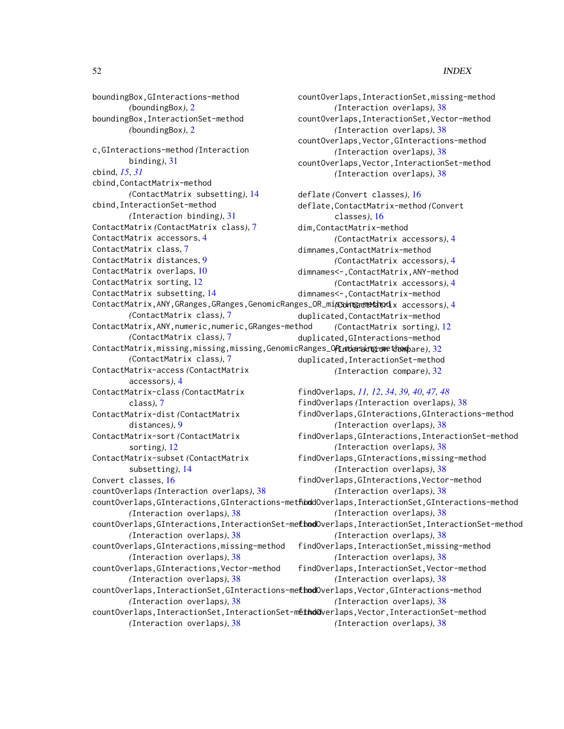#### 52 INDEX

boundingBox,GInteractions-method *(*boundingBox*)*, [2](#page-1-0) boundingBox,InteractionSet-method *(*boundingBox*)*, [2](#page-1-0) c,GInteractions-method *(*Interaction binding*)*, [31](#page-30-0) cbind, *[15](#page-14-0)*, *[31](#page-30-0)* cbind,ContactMatrix-method *(*ContactMatrix subsetting*)*, [14](#page-13-0) cbind,InteractionSet-method *(*Interaction binding*)*, [31](#page-30-0) ContactMatrix *(*ContactMatrix class*)*, [7](#page-6-0) ContactMatrix accessors, [4](#page-3-0) ContactMatrix class, [7](#page-6-0) ContactMatrix distances, [9](#page-8-0) ContactMatrix overlaps, [10](#page-9-0) ContactMatrix sorting, [12](#page-11-0) ContactMatrix subsetting, [14](#page-13-0) ContactMatrix,ANY,GRanges,GRanges,GenomicRanges\_OR\_missing-method *(*ContactMatrix accessors*)*, [4](#page-3-0) *(*ContactMatrix class*)*, [7](#page-6-0) ContactMatrix,ANY,numeric,numeric,GRanges-method *(*ContactMatrix class*)*, [7](#page-6-0) ContactMatrix,missing,missing,missing,GenomicRanges\_OR\_missing-method *(*Interaction compare*)*, [32](#page-31-0) *(*ContactMatrix class*)*, [7](#page-6-0) ContactMatrix-access *(*ContactMatrix accessors*)*, [4](#page-3-0) ContactMatrix-class *(*ContactMatrix class*)*, [7](#page-6-0) ContactMatrix-dist *(*ContactMatrix distances*)*, [9](#page-8-0) ContactMatrix-sort *(*ContactMatrix sorting*)*, [12](#page-11-0) ContactMatrix-subset *(*ContactMatrix subsetting*)*, [14](#page-13-0) Convert classes, [16](#page-15-0) countOverlaps *(*Interaction overlaps*)*, [38](#page-37-0) *(*Interaction overlaps*)*, [38](#page-37-0) *(*Interaction overlaps*)*, [38](#page-37-0) countOverlaps,GInteractions,missing-method *(*Interaction overlaps*)*, [38](#page-37-0) countOverlaps,GInteractions,Vector-method *(*Interaction overlaps*)*, [38](#page-37-0) *(*Interaction overlaps*)*, [38](#page-37-0)

countOverlaps,InteractionSet,missing-method *(*Interaction overlaps*)*, [38](#page-37-0) countOverlaps,InteractionSet,Vector-method *(*Interaction overlaps*)*, [38](#page-37-0) countOverlaps,Vector,GInteractions-method *(*Interaction overlaps*)*, [38](#page-37-0) countOverlaps,Vector,InteractionSet-method *(*Interaction overlaps*)*, [38](#page-37-0) deflate *(*Convert classes*)*, [16](#page-15-0) deflate,ContactMatrix-method *(*Convert classes*)*, [16](#page-15-0) dim,ContactMatrix-method *(*ContactMatrix accessors*)*, [4](#page-3-0) dimnames,ContactMatrix-method *(*ContactMatrix accessors*)*, [4](#page-3-0) dimnames<-,ContactMatrix,ANY-method *(*ContactMatrix accessors*)*, [4](#page-3-0) dimnames<-,ContactMatrix-method duplicated,ContactMatrix-method *(*ContactMatrix sorting*)*, [12](#page-11-0) duplicated,GInteractions-method duplicated,InteractionSet-method *(*Interaction compare*)*, [32](#page-31-0)

countOverlaps, GInteractions, GInteractions-methoddOverlaps, InteractionSet, GInteractions-method countOverlaps, GInteractions, InteractionSet-methodOverlaps, InteractionSet, InteractionSet-method countOverlaps, InteractionSet, GInteractions-methodOverlaps, Vector, GInteractions-method countOverlaps, InteractionSet, InteractionSet-methodoverlaps, Vector, InteractionSet-method *(*Interaction overlaps*)*, [38](#page-37-0) findOverlaps, *[11,](#page-10-0) [12](#page-11-0)*, *[34](#page-33-0)*, *[39,](#page-38-0) [40](#page-39-0)*, *[47,](#page-46-0) [48](#page-47-0)* findOverlaps *(*Interaction overlaps*)*, [38](#page-37-0) findOverlaps,GInteractions,GInteractions-method *(*Interaction overlaps*)*, [38](#page-37-0) findOverlaps,GInteractions,InteractionSet-method *(*Interaction overlaps*)*, [38](#page-37-0) findOverlaps,GInteractions,missing-method *(*Interaction overlaps*)*, [38](#page-37-0) findOverlaps,GInteractions,Vector-method *(*Interaction overlaps*)*, [38](#page-37-0) *(*Interaction overlaps*)*, [38](#page-37-0) *(*Interaction overlaps*)*, [38](#page-37-0) findOverlaps,InteractionSet,missing-method *(*Interaction overlaps*)*, [38](#page-37-0) findOverlaps,InteractionSet,Vector-method *(*Interaction overlaps*)*, [38](#page-37-0) *(*Interaction overlaps*)*, [38](#page-37-0) *(*Interaction overlaps*)*, [38](#page-37-0)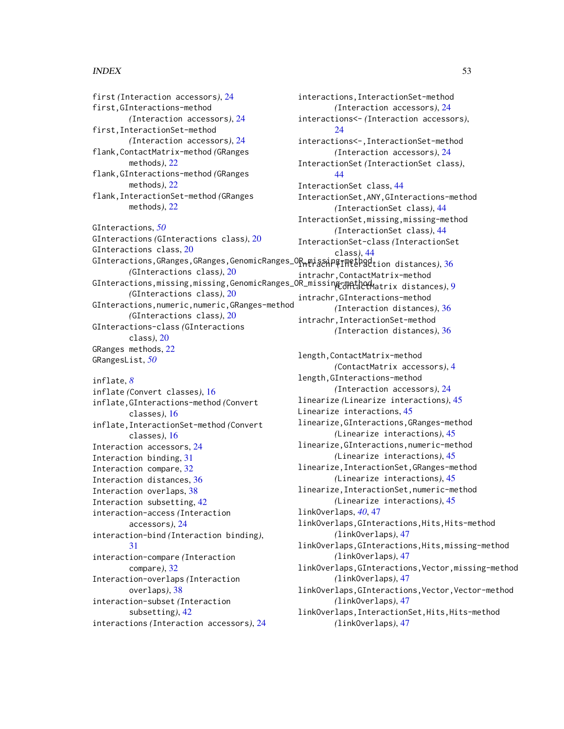#### $I<sub>N</sub>DEX$  53

first *(*Interaction accessors*)*, [24](#page-23-0) first,GInteractions-method *(*Interaction accessors*)*, [24](#page-23-0) first,InteractionSet-method *(*Interaction accessors*)*, [24](#page-23-0) flank,ContactMatrix-method *(*GRanges methods*)*, [22](#page-21-0) flank,GInteractions-method *(*GRanges methods*)*, [22](#page-21-0) flank,InteractionSet-method *(*GRanges methods*)*, [22](#page-21-0) GInteractions, *[50](#page-49-0)* GInteractions *(*GInteractions class*)*, [20](#page-19-0) GInteractions class, [20](#page-19-0) GInteractions,GRanges,GRanges,GenomicRanges\_OR\_missing-method intrachr *(*Interaction distances*)*, [36](#page-35-0) *(*GInteractions class*)*, [20](#page-19-0) GInteractions,missing,missing,GenomicRanges\_OR\_missing-method atrix distances), [9](#page-8-0) *(*GInteractions class*)*, [20](#page-19-0) GInteractions,numeric,numeric,GRanges-method *(*GInteractions class*)*, [20](#page-19-0) GInteractions-class *(*GInteractions class*)*, [20](#page-19-0) GRanges methods, [22](#page-21-0) GRangesList, *[50](#page-49-0)* inflate, *[8](#page-7-0)* inflate *(*Convert classes*)*, [16](#page-15-0) inflate,GInteractions-method *(*Convert classes*)*, [16](#page-15-0) inflate,InteractionSet-method *(*Convert classes*)*, [16](#page-15-0) Interaction accessors, [24](#page-23-0) Interaction binding, [31](#page-30-0) Interaction compare, [32](#page-31-0) Interaction distances, [36](#page-35-0) Interaction overlaps, [38](#page-37-0) Interaction subsetting, [42](#page-41-0) interaction-access *(*Interaction accessors*)*, [24](#page-23-0) interaction-bind *(*Interaction binding*)*, [31](#page-30-0) interaction-compare *(*Interaction compare*)*, [32](#page-31-0) Interaction-overlaps *(*Interaction overlaps*)*, [38](#page-37-0) interaction-subset *(*Interaction subsetting*)*, [42](#page-41-0) interactions *(*Interaction accessors*)*, [24](#page-23-0)

interactions,InteractionSet-method *(*Interaction accessors*)*, [24](#page-23-0) interactions<- *(*Interaction accessors*)*,  $24$ interactions<-,InteractionSet-method *(*Interaction accessors*)*, [24](#page-23-0) InteractionSet *(*InteractionSet class*)*, [44](#page-43-0) InteractionSet class, [44](#page-43-0) InteractionSet,ANY,GInteractions-method *(*InteractionSet class*)*, [44](#page-43-0) InteractionSet,missing,missing-method *(*InteractionSet class*)*, [44](#page-43-0) InteractionSet-class *(*InteractionSet class*)*, [44](#page-43-0) intrachr,ContactMatrix-method intrachr,GInteractions-method *(*Interaction distances*)*, [36](#page-35-0) intrachr,InteractionSet-method *(*Interaction distances*)*, [36](#page-35-0) length,ContactMatrix-method *(*ContactMatrix accessors*)*, [4](#page-3-0) length,GInteractions-method *(*Interaction accessors*)*, [24](#page-23-0) linearize *(*Linearize interactions*)*, [45](#page-44-0) Linearize interactions, [45](#page-44-0) linearize,GInteractions,GRanges-method *(*Linearize interactions*)*, [45](#page-44-0) linearize,GInteractions,numeric-method *(*Linearize interactions*)*, [45](#page-44-0) linearize,InteractionSet,GRanges-method *(*Linearize interactions*)*, [45](#page-44-0) linearize,InteractionSet,numeric-method *(*Linearize interactions*)*, [45](#page-44-0) linkOverlaps, *[40](#page-39-0)*, [47](#page-46-0) linkOverlaps,GInteractions,Hits,Hits-method *(*linkOverlaps*)*, [47](#page-46-0) linkOverlaps,GInteractions,Hits,missing-method *(*linkOverlaps*)*, [47](#page-46-0) linkOverlaps,GInteractions,Vector,missing-method *(*linkOverlaps*)*, [47](#page-46-0) linkOverlaps,GInteractions,Vector,Vector-method *(*linkOverlaps*)*, [47](#page-46-0) linkOverlaps,InteractionSet,Hits,Hits-method *(*linkOverlaps*)*, [47](#page-46-0)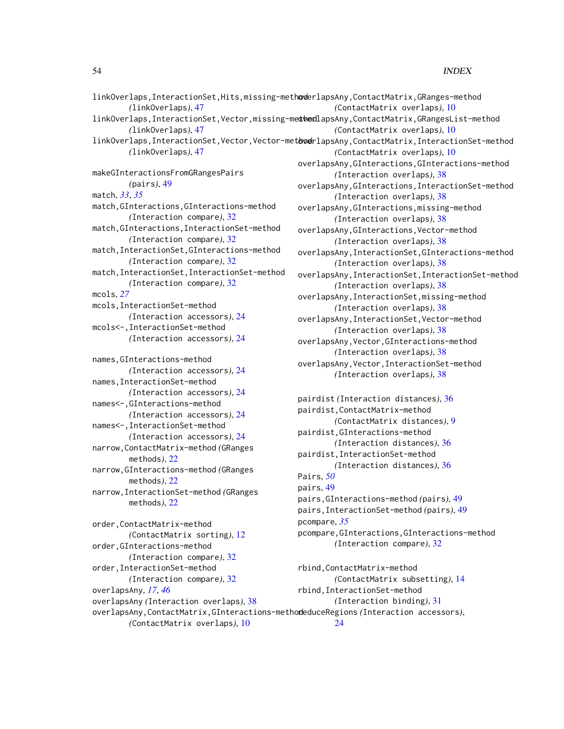#### 54 INDEX

| linkOverlaps, InteractionSet, Hits, missing-methoderlapsAny, ContactMatrix, GRanges-method |                                                                                                   |
|--------------------------------------------------------------------------------------------|---------------------------------------------------------------------------------------------------|
| (link0verlaps), 47                                                                         | (ContactMatrix overlaps), 10                                                                      |
|                                                                                            | linkOverlaps,InteractionSet,Vector,missing-medthodlapsAny,ContactMatrix,GRangesList-method        |
| (link0verlaps), 47                                                                         | (ContactMatrix overlaps), 10                                                                      |
|                                                                                            | linkOverlaps, InteractionSet, Vector, Vector-metoverlapsAny, ContactMatrix, InteractionSet-method |
| (link0verlaps), 47                                                                         | (ContactMatrix overlaps), 10                                                                      |
|                                                                                            | overlapsAny, GInteractions, GInteractions-method                                                  |
| makeGInteractionsFromGRangesPairs                                                          | (Interaction overlaps), 38                                                                        |
| (pairs), 49                                                                                | overlapsAny, GInteractions, InteractionSet-method                                                 |
| match, 33, 35                                                                              | (Interaction overlaps), 38                                                                        |
| match, GInteractions, GInteractions-method                                                 | overlapsAny, GInteractions, missing-method                                                        |
| (Interaction compare), 32                                                                  | (Interaction overlaps), 38                                                                        |
| match, GInteractions, InteractionSet-method                                                | overlapsAny, GInteractions, Vector-method                                                         |
| (Interaction compare), 32                                                                  | (Interaction overlaps), 38                                                                        |
| match, InteractionSet, GInteractions-method                                                | overlapsAny, InteractionSet, GInteractions-method                                                 |
| (Interaction compare), 32                                                                  | (Interaction overlaps), 38                                                                        |
| match, InteractionSet, InteractionSet-method                                               | overlapsAny, InteractionSet, InteractionSet-method                                                |
| (Interaction compare), 32                                                                  | (Interaction overlaps), 38                                                                        |
| mcols, 27                                                                                  | overlapsAny, InteractionSet, missing-method                                                       |
| mcols, InteractionSet-method                                                               | (Interaction overlaps), 38                                                                        |
| (Interaction accessors), 24                                                                | overlapsAny, InteractionSet, Vector-method                                                        |
| mcols<-, InteractionSet-method                                                             | (Interaction overlaps), 38                                                                        |
| (Interaction accessors), 24                                                                | overlapsAny, Vector, GInteractions-method                                                         |
|                                                                                            | (Interaction overlaps), 38                                                                        |
| names, GInteractions-method                                                                | overlapsAny, Vector, InteractionSet-method                                                        |
| (Interaction accessors), 24                                                                | (Interaction overlaps), 38                                                                        |
| names, InteractionSet-method                                                               |                                                                                                   |
| (Interaction accessors), 24                                                                | pairdist (Interaction distances), 36                                                              |
| names<-, GInteractions-method                                                              | pairdist, ContactMatrix-method                                                                    |
| (Interaction accessors), 24                                                                | (ContactMatrix distances), 9                                                                      |
| names<-, InteractionSet-method                                                             | pairdist, GInteractions-method                                                                    |
| (Interaction accessors), 24                                                                | (Interaction distances), 36                                                                       |
| narrow, ContactMatrix-method (GRanges                                                      | pairdist, InteractionSet-method                                                                   |
| methods), 22<br>narrow, GInteractions-method (GRanges                                      | (Interaction distances), 36                                                                       |
|                                                                                            | Pairs, 50                                                                                         |
| methods), 22                                                                               | pairs, 49                                                                                         |
| narrow, InteractionSet-method (GRanges                                                     | pairs, GInteractions-method (pairs), 49                                                           |
| methods), $22$                                                                             | pairs, InteractionSet-method (pairs), 49                                                          |
| order, ContactMatrix-method                                                                | pcompare, 35                                                                                      |
| (ContactMatrix sorting), 12                                                                | pcompare, GInteractions, GInteractions-method                                                     |
| order, GInteractions-method                                                                | (Interaction compare), 32                                                                         |
| (Interaction compare), 32                                                                  |                                                                                                   |
| order, InteractionSet-method                                                               | rbind, ContactMatrix-method                                                                       |
| (Interaction compare), 32                                                                  | (ContactMatrix subsetting), 14                                                                    |
| overlapsAny, 17, 46                                                                        | rbind, InteractionSet-method                                                                      |
| overlapsAny (Interaction overlaps), 38                                                     | (Interaction binding), 31                                                                         |
| overlapsAny, ContactMatrix, GInteractions-methodeduceRegions (Interaction accessors),      |                                                                                                   |
| (ContactMatrix overlaps), 10                                                               | 24                                                                                                |
|                                                                                            |                                                                                                   |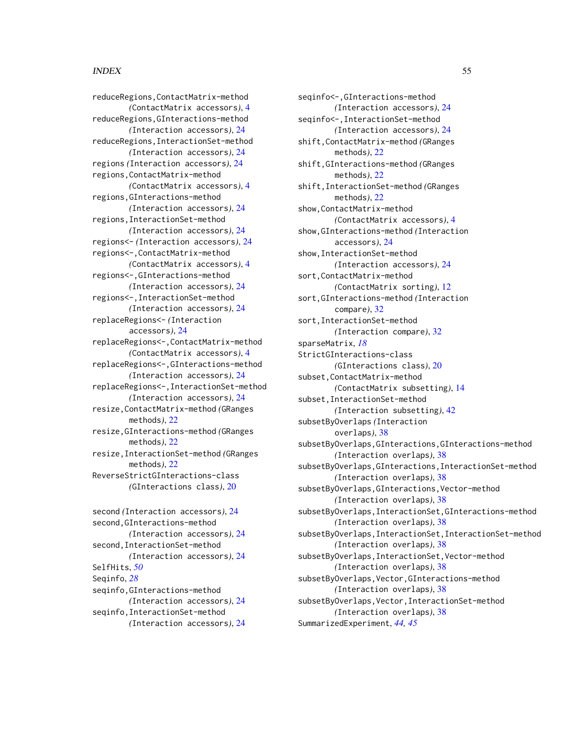#### INDEX 55

reduceRegions,ContactMatrix-method *(*ContactMatrix accessors*)*, [4](#page-3-0) reduceRegions,GInteractions-method *(*Interaction accessors*)*, [24](#page-23-0) reduceRegions,InteractionSet-method *(*Interaction accessors*)*, [24](#page-23-0) regions *(*Interaction accessors*)*, [24](#page-23-0) regions,ContactMatrix-method *(*ContactMatrix accessors*)*, [4](#page-3-0) regions,GInteractions-method *(*Interaction accessors*)*, [24](#page-23-0) regions,InteractionSet-method *(*Interaction accessors*)*, [24](#page-23-0) regions<- *(*Interaction accessors*)*, [24](#page-23-0) regions<-,ContactMatrix-method *(*ContactMatrix accessors*)*, [4](#page-3-0) regions<-,GInteractions-method *(*Interaction accessors*)*, [24](#page-23-0) regions<-,InteractionSet-method *(*Interaction accessors*)*, [24](#page-23-0) replaceRegions<- *(*Interaction accessors*)*, [24](#page-23-0) replaceRegions<-,ContactMatrix-method *(*ContactMatrix accessors*)*, [4](#page-3-0) replaceRegions<-,GInteractions-method *(*Interaction accessors*)*, [24](#page-23-0) replaceRegions<-,InteractionSet-method *(*Interaction accessors*)*, [24](#page-23-0) resize,ContactMatrix-method *(*GRanges methods*)*, [22](#page-21-0) resize,GInteractions-method *(*GRanges methods*)*, [22](#page-21-0) resize,InteractionSet-method *(*GRanges methods*)*, [22](#page-21-0) ReverseStrictGInteractions-class *(*GInteractions class*)*, [20](#page-19-0) second *(*Interaction accessors*)*, [24](#page-23-0) second,GInteractions-method *(*Interaction accessors*)*, [24](#page-23-0)

second,InteractionSet-method

seqinfo,GInteractions-method

seqinfo,InteractionSet-method

SelfHits, *[50](#page-49-0)* Seqinfo, *[28](#page-27-0)*

*(*Interaction accessors*)*, [24](#page-23-0)

*(*Interaction accessors*)*, [24](#page-23-0)

*(*Interaction accessors*)*, [24](#page-23-0)

*(*Interaction accessors*)*, [24](#page-23-0) seqinfo<-,InteractionSet-method *(*Interaction accessors*)*, [24](#page-23-0) shift,ContactMatrix-method *(*GRanges methods*)*, [22](#page-21-0) shift,GInteractions-method *(*GRanges methods*)*, [22](#page-21-0) shift,InteractionSet-method *(*GRanges methods*)*, [22](#page-21-0) show,ContactMatrix-method *(*ContactMatrix accessors*)*, [4](#page-3-0) show,GInteractions-method *(*Interaction accessors*)*, [24](#page-23-0) show,InteractionSet-method *(*Interaction accessors*)*, [24](#page-23-0) sort,ContactMatrix-method *(*ContactMatrix sorting*)*, [12](#page-11-0) sort,GInteractions-method *(*Interaction compare*)*, [32](#page-31-0) sort,InteractionSet-method *(*Interaction compare*)*, [32](#page-31-0) sparseMatrix, *[18](#page-17-0)* StrictGInteractions-class *(*GInteractions class*)*, [20](#page-19-0) subset,ContactMatrix-method *(*ContactMatrix subsetting*)*, [14](#page-13-0) subset,InteractionSet-method *(*Interaction subsetting*)*, [42](#page-41-0) subsetByOverlaps *(*Interaction overlaps*)*, [38](#page-37-0) subsetByOverlaps,GInteractions,GInteractions-method *(*Interaction overlaps*)*, [38](#page-37-0) subsetByOverlaps,GInteractions,InteractionSet-method *(*Interaction overlaps*)*, [38](#page-37-0) subsetByOverlaps,GInteractions,Vector-method *(*Interaction overlaps*)*, [38](#page-37-0) subsetByOverlaps,InteractionSet,GInteractions-method *(*Interaction overlaps*)*, [38](#page-37-0) subsetByOverlaps,InteractionSet,InteractionSet-method *(*Interaction overlaps*)*, [38](#page-37-0) subsetByOverlaps,InteractionSet,Vector-method *(*Interaction overlaps*)*, [38](#page-37-0) subsetByOverlaps,Vector,GInteractions-method *(*Interaction overlaps*)*, [38](#page-37-0) subsetByOverlaps,Vector,InteractionSet-method *(*Interaction overlaps*)*, [38](#page-37-0) SummarizedExperiment, *[44,](#page-43-0) [45](#page-44-0)*

seqinfo<-,GInteractions-method